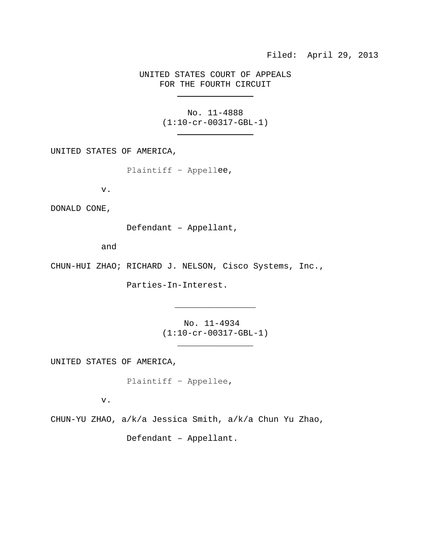### UNITED STATES COURT OF APPEALS FOR THE FOURTH CIRCUIT

No. 11-4888 (1:10-cr-00317-GBL-1)

UNITED STATES OF AMERICA,

Plaintiff − Appellee,

v.

DONALD CONE,

Defendant – Appellant,

and

CHUN-HUI ZHAO; RICHARD J. NELSON, Cisco Systems, Inc.,

Parties-In-Interest.

No. 11-4934 (1:10-cr-00317-GBL-1)

\_\_\_\_\_\_\_\_\_\_\_\_\_\_\_

 $\overline{\phantom{a}}$  , where  $\overline{\phantom{a}}$  , where  $\overline{\phantom{a}}$ 

UNITED STATES OF AMERICA,

Plaintiff − Appellee,

v.

CHUN-YU ZHAO, a/k/a Jessica Smith, a/k/a Chun Yu Zhao,

Defendant – Appellant.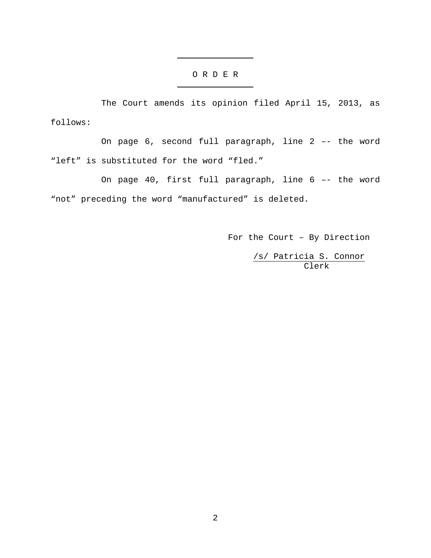#### O R D E R

The Court amends its opinion filed April 15, 2013, as follows:

On page 6, second full paragraph, line 2 –- the word "left" is substituted for the word "fled."

On page 40, first full paragraph, line 6 –- the word "not" preceding the word "manufactured" is deleted.

For the Court – By Direction

/s/ Patricia S. Connor Clerk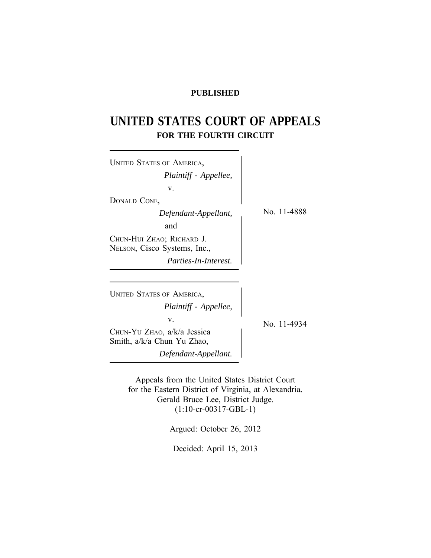## **PUBLISHED**

# **UNITED STATES COURT OF APPEALS FOR THE FOURTH CIRCUIT**

| <b>UNITED STATES OF AMERICA,</b>                                                               |             |
|------------------------------------------------------------------------------------------------|-------------|
| Plaintiff - Appellee,                                                                          |             |
| V.                                                                                             |             |
| DONALD CONE,                                                                                   |             |
| Defendant-Appellant,                                                                           | No. 11-4888 |
| and                                                                                            |             |
| CHUN-HUI ZHAO; RICHARD J.<br>NELSON, Cisco Systems, Inc.,                                      |             |
| <i>Parties-In-Interest.</i>                                                                    |             |
| <b>UNITED STATES OF AMERICA,</b><br>Plaintiff - Appellee,<br>V.<br>CHUN-YU ZHAO, a/k/a Jessica | No. 11-4934 |
| Smith, a/k/a Chun Yu Zhao,<br>Defendant-Appellant.                                             |             |

Appeals from the United States District Court for the Eastern District of Virginia, at Alexandria. Gerald Bruce Lee, District Judge. (1:10-cr-00317-GBL-1)

Argued: October 26, 2012

Decided: April 15, 2013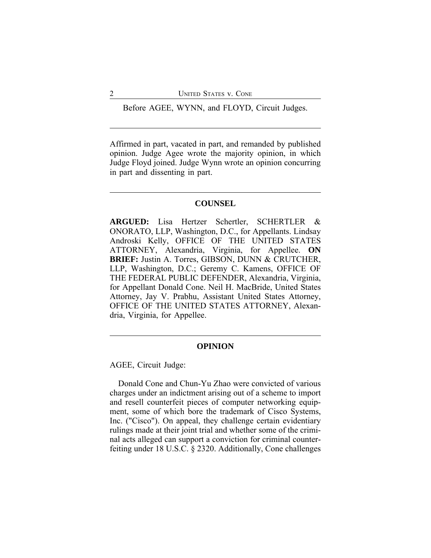Before AGEE, WYNN, and FLOYD, Circuit Judges.

Affirmed in part, vacated in part, and remanded by published opinion. Judge Agee wrote the majority opinion, in which Judge Floyd joined. Judge Wynn wrote an opinion concurring in part and dissenting in part.

## **COUNSEL**

**ARGUED:** Lisa Hertzer Schertler, SCHERTLER & ONORATO, LLP, Washington, D.C., for Appellants. Lindsay Androski Kelly, OFFICE OF THE UNITED STATES ATTORNEY, Alexandria, Virginia, for Appellee. **ON BRIEF:** Justin A. Torres, GIBSON, DUNN & CRUTCHER, LLP, Washington, D.C.; Geremy C. Kamens, OFFICE OF THE FEDERAL PUBLIC DEFENDER, Alexandria, Virginia, for Appellant Donald Cone. Neil H. MacBride, United States Attorney, Jay V. Prabhu, Assistant United States Attorney, OFFICE OF THE UNITED STATES ATTORNEY, Alexandria, Virginia, for Appellee.

#### **OPINION**

AGEE, Circuit Judge:

Donald Cone and Chun-Yu Zhao were convicted of various charges under an indictment arising out of a scheme to import and resell counterfeit pieces of computer networking equipment, some of which bore the trademark of Cisco Systems, Inc. ("Cisco"). On appeal, they challenge certain evidentiary rulings made at their joint trial and whether some of the criminal acts alleged can support a conviction for criminal counterfeiting under 18 U.S.C. § 2320. Additionally, Cone challenges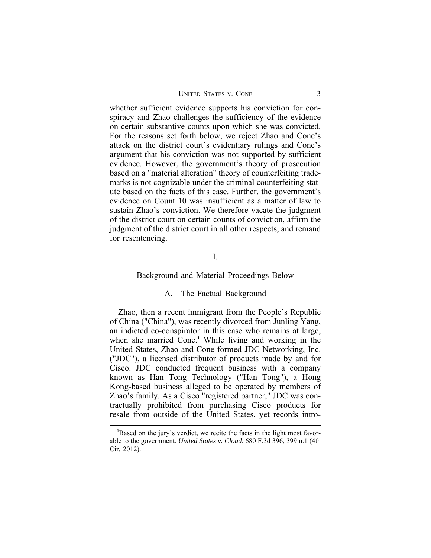|  | <b>UNITED STATES V. CONE</b> |  |
|--|------------------------------|--|
|  |                              |  |

whether sufficient evidence supports his conviction for conspiracy and Zhao challenges the sufficiency of the evidence on certain substantive counts upon which she was convicted. For the reasons set forth below, we reject Zhao and Cone's attack on the district court's evidentiary rulings and Cone's argument that his conviction was not supported by sufficient evidence. However, the government's theory of prosecution based on a "material alteration" theory of counterfeiting trademarks is not cognizable under the criminal counterfeiting statute based on the facts of this case. Further, the government's evidence on Count 10 was insufficient as a matter of law to sustain Zhao's conviction. We therefore vacate the judgment of the district court on certain counts of conviction, affirm the judgment of the district court in all other respects, and remand for resentencing.

## I.

#### Background and Material Proceedings Below

#### A. The Factual Background

Zhao, then a recent immigrant from the People's Republic of China ("China"), was recently divorced from Junling Yang, an indicted co-conspirator in this case who remains at large, when she married Cone.**<sup>1</sup>** While living and working in the United States, Zhao and Cone formed JDC Networking, Inc. ("JDC"), a licensed distributor of products made by and for Cisco. JDC conducted frequent business with a company known as Han Tong Technology ("Han Tong"), a Hong Kong-based business alleged to be operated by members of Zhao's family. As a Cisco "registered partner," JDC was contractually prohibited from purchasing Cisco products for resale from outside of the United States, yet records intro-

**<sup>1</sup>**Based on the jury's verdict, we recite the facts in the light most favorable to the government. *United States v. Cloud*, 680 F.3d 396, 399 n.1 (4th Cir. 2012).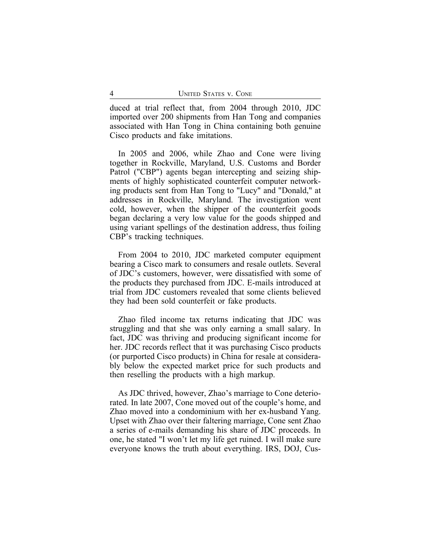duced at trial reflect that, from 2004 through 2010, JDC imported over 200 shipments from Han Tong and companies associated with Han Tong in China containing both genuine Cisco products and fake imitations.

In 2005 and 2006, while Zhao and Cone were living together in Rockville, Maryland, U.S. Customs and Border Patrol ("CBP") agents began intercepting and seizing shipments of highly sophisticated counterfeit computer networking products sent from Han Tong to "Lucy" and "Donald," at addresses in Rockville, Maryland. The investigation went cold, however, when the shipper of the counterfeit goods began declaring a very low value for the goods shipped and using variant spellings of the destination address, thus foiling CBP's tracking techniques.

From 2004 to 2010, JDC marketed computer equipment bearing a Cisco mark to consumers and resale outlets. Several of JDC's customers, however, were dissatisfied with some of the products they purchased from JDC. E-mails introduced at trial from JDC customers revealed that some clients believed they had been sold counterfeit or fake products.

Zhao filed income tax returns indicating that JDC was struggling and that she was only earning a small salary. In fact, JDC was thriving and producing significant income for her. JDC records reflect that it was purchasing Cisco products (or purported Cisco products) in China for resale at considerably below the expected market price for such products and then reselling the products with a high markup.

As JDC thrived, however, Zhao's marriage to Cone deteriorated. In late 2007, Cone moved out of the couple's home, and Zhao moved into a condominium with her ex-husband Yang. Upset with Zhao over their faltering marriage, Cone sent Zhao a series of e-mails demanding his share of JDC proceeds. In one, he stated "I won't let my life get ruined. I will make sure everyone knows the truth about everything. IRS, DOJ, Cus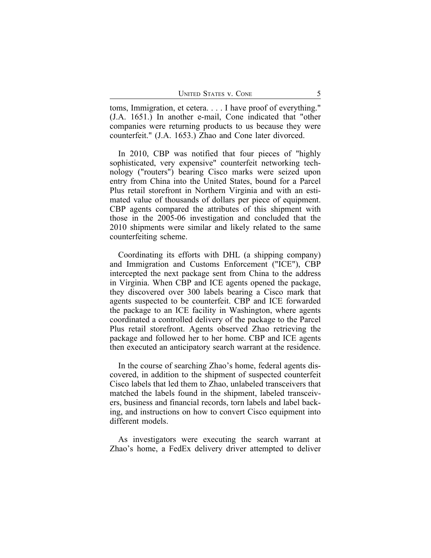toms, Immigration, et cetera. . . . I have proof of everything." (J.A. 1651.) In another e-mail, Cone indicated that "other companies were returning products to us because they were counterfeit." (J.A. 1653.) Zhao and Cone later divorced.

In 2010, CBP was notified that four pieces of "highly sophisticated, very expensive" counterfeit networking technology ("routers") bearing Cisco marks were seized upon entry from China into the United States, bound for a Parcel Plus retail storefront in Northern Virginia and with an estimated value of thousands of dollars per piece of equipment. CBP agents compared the attributes of this shipment with those in the 2005-06 investigation and concluded that the 2010 shipments were similar and likely related to the same counterfeiting scheme.

Coordinating its efforts with DHL (a shipping company) and Immigration and Customs Enforcement ("ICE"), CBP intercepted the next package sent from China to the address in Virginia. When CBP and ICE agents opened the package, they discovered over 300 labels bearing a Cisco mark that agents suspected to be counterfeit. CBP and ICE forwarded the package to an ICE facility in Washington, where agents coordinated a controlled delivery of the package to the Parcel Plus retail storefront. Agents observed Zhao retrieving the package and followed her to her home. CBP and ICE agents then executed an anticipatory search warrant at the residence.

In the course of searching Zhao's home, federal agents discovered, in addition to the shipment of suspected counterfeit Cisco labels that led them to Zhao, unlabeled transceivers that matched the labels found in the shipment, labeled transceivers, business and financial records, torn labels and label backing, and instructions on how to convert Cisco equipment into different models.

As investigators were executing the search warrant at Zhao's home, a FedEx delivery driver attempted to deliver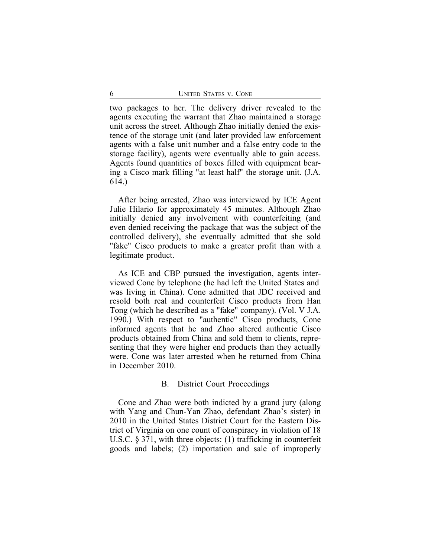two packages to her. The delivery driver revealed to the agents executing the warrant that Zhao maintained a storage unit across the street. Although Zhao initially denied the existence of the storage unit (and later provided law enforcement agents with a false unit number and a false entry code to the storage facility), agents were eventually able to gain access. Agents found quantities of boxes filled with equipment bearing a Cisco mark filling "at least half" the storage unit. (J.A. 614.)

After being arrested, Zhao was interviewed by ICE Agent Julie Hilario for approximately 45 minutes. Although Zhao initially denied any involvement with counterfeiting (and even denied receiving the package that was the subject of the controlled delivery), she eventually admitted that she sold "fake" Cisco products to make a greater profit than with a legitimate product.

As ICE and CBP pursued the investigation, agents interviewed Cone by telephone (he had left the United States and was living in China). Cone admitted that JDC received and resold both real and counterfeit Cisco products from Han Tong (which he described as a "fake" company). (Vol. V J.A. 1990.) With respect to "authentic" Cisco products, Cone informed agents that he and Zhao altered authentic Cisco products obtained from China and sold them to clients, representing that they were higher end products than they actually were. Cone was later arrested when he returned from China in December 2010.

#### B. District Court Proceedings

Cone and Zhao were both indicted by a grand jury (along with Yang and Chun-Yan Zhao, defendant Zhao's sister) in 2010 in the United States District Court for the Eastern District of Virginia on one count of conspiracy in violation of 18 U.S.C. § 371, with three objects: (1) trafficking in counterfeit goods and labels; (2) importation and sale of improperly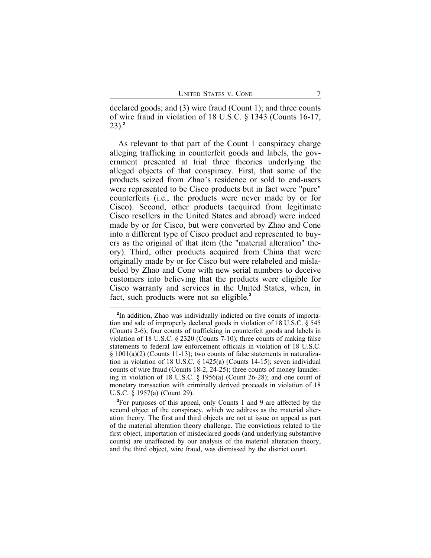declared goods; and (3) wire fraud (Count 1); and three counts of wire fraud in violation of 18 U.S.C. § 1343 (Counts 16-17, 23).**<sup>2</sup>**

As relevant to that part of the Count 1 conspiracy charge alleging trafficking in counterfeit goods and labels, the government presented at trial three theories underlying the alleged objects of that conspiracy. First, that some of the products seized from Zhao's residence or sold to end-users were represented to be Cisco products but in fact were "pure" counterfeits (i.e., the products were never made by or for Cisco). Second, other products (acquired from legitimate Cisco resellers in the United States and abroad) were indeed made by or for Cisco, but were converted by Zhao and Cone into a different type of Cisco product and represented to buyers as the original of that item (the "material alteration" theory). Third, other products acquired from China that were originally made by or for Cisco but were relabeled and mislabeled by Zhao and Cone with new serial numbers to deceive customers into believing that the products were eligible for Cisco warranty and services in the United States, when, in fact, such products were not so eligible.**<sup>3</sup>**

**<sup>2</sup>** In addition, Zhao was individually indicted on five counts of importation and sale of improperly declared goods in violation of 18 U.S.C. § 545 (Counts 2-6); four counts of trafficking in counterfeit goods and labels in violation of 18 U.S.C. § 2320 (Counts 7-10); three counts of making false statements to federal law enforcement officials in violation of 18 U.S.C. § 1001(a)(2) (Counts 11-13); two counts of false statements in naturalization in violation of 18 U.S.C. § 1425(a) (Counts 14-15); seven individual counts of wire fraud (Counts 18-2, 24-25); three counts of money laundering in violation of 18 U.S.C. § 1956(a) (Count 26-28); and one count of monetary transaction with criminally derived proceeds in violation of 18 U.S.C. § 1957(a) (Count 29).

**<sup>3</sup>**For purposes of this appeal, only Counts 1 and 9 are affected by the second object of the conspiracy, which we address as the material alteration theory. The first and third objects are not at issue on appeal as part of the material alteration theory challenge. The convictions related to the first object, importation of misdeclared goods (and underlying substantive counts) are unaffected by our analysis of the material alteration theory, and the third object, wire fraud, was dismissed by the district court.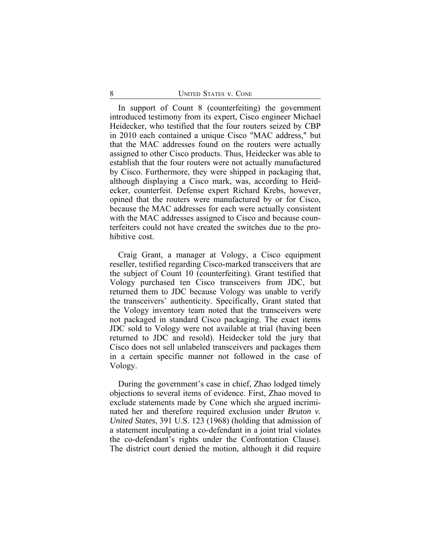In support of Count 8 (counterfeiting) the government introduced testimony from its expert, Cisco engineer Michael Heidecker, who testified that the four routers seized by CBP in 2010 each contained a unique Cisco "MAC address," but that the MAC addresses found on the routers were actually assigned to other Cisco products. Thus, Heidecker was able to establish that the four routers were not actually manufactured by Cisco. Furthermore, they were shipped in packaging that, although displaying a Cisco mark, was, according to Heidecker, counterfeit. Defense expert Richard Krebs, however, opined that the routers were manufactured by or for Cisco, because the MAC addresses for each were actually consistent with the MAC addresses assigned to Cisco and because counterfeiters could not have created the switches due to the prohibitive cost.

Craig Grant, a manager at Vology, a Cisco equipment reseller, testified regarding Cisco-marked transceivers that are the subject of Count 10 (counterfeiting). Grant testified that Vology purchased ten Cisco transceivers from JDC, but returned them to JDC because Vology was unable to verify the transceivers' authenticity. Specifically, Grant stated that the Vology inventory team noted that the transceivers were not packaged in standard Cisco packaging. The exact items JDC sold to Vology were not available at trial (having been returned to JDC and resold). Heidecker told the jury that Cisco does not sell unlabeled transceivers and packages them in a certain specific manner not followed in the case of Vology.

During the government's case in chief, Zhao lodged timely objections to several items of evidence. First, Zhao moved to exclude statements made by Cone which she argued incriminated her and therefore required exclusion under *Bruton v. United States*, 391 U.S. 123 (1968) (holding that admission of a statement inculpating a co-defendant in a joint trial violates the co-defendant's rights under the Confrontation Clause). The district court denied the motion, although it did require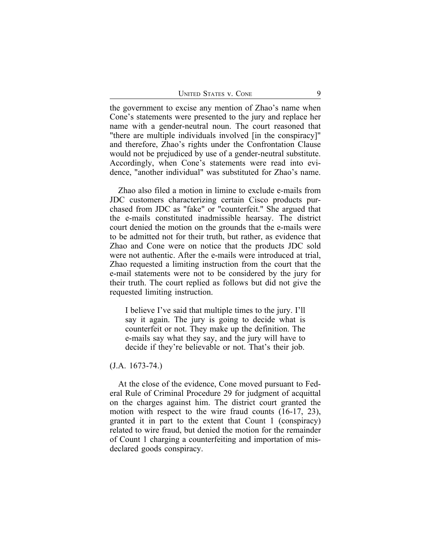the government to excise any mention of Zhao's name when Cone's statements were presented to the jury and replace her name with a gender-neutral noun. The court reasoned that "there are multiple individuals involved [in the conspiracy]" and therefore, Zhao's rights under the Confrontation Clause would not be prejudiced by use of a gender-neutral substitute. Accordingly, when Cone's statements were read into evidence, "another individual" was substituted for Zhao's name.

Zhao also filed a motion in limine to exclude e-mails from JDC customers characterizing certain Cisco products purchased from JDC as "fake" or "counterfeit." She argued that the e-mails constituted inadmissible hearsay. The district court denied the motion on the grounds that the e-mails were to be admitted not for their truth, but rather, as evidence that Zhao and Cone were on notice that the products JDC sold were not authentic. After the e-mails were introduced at trial, Zhao requested a limiting instruction from the court that the e-mail statements were not to be considered by the jury for their truth. The court replied as follows but did not give the requested limiting instruction.

I believe I've said that multiple times to the jury. I'll say it again. The jury is going to decide what is counterfeit or not. They make up the definition. The e-mails say what they say, and the jury will have to decide if they're believable or not. That's their job.

## (J.A. 1673-74.)

At the close of the evidence, Cone moved pursuant to Federal Rule of Criminal Procedure 29 for judgment of acquittal on the charges against him. The district court granted the motion with respect to the wire fraud counts (16-17, 23), granted it in part to the extent that Count 1 (conspiracy) related to wire fraud, but denied the motion for the remainder of Count 1 charging a counterfeiting and importation of misdeclared goods conspiracy.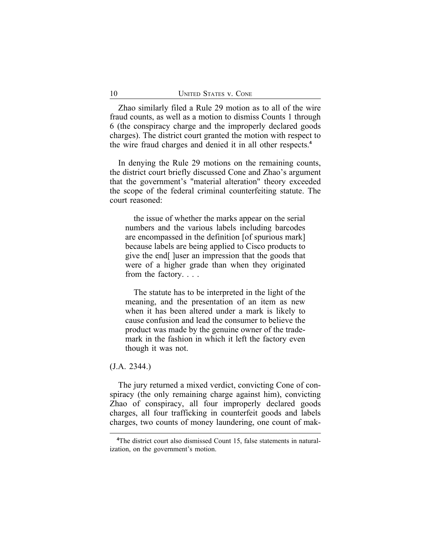Zhao similarly filed a Rule 29 motion as to all of the wire fraud counts, as well as a motion to dismiss Counts 1 through 6 (the conspiracy charge and the improperly declared goods charges). The district court granted the motion with respect to the wire fraud charges and denied it in all other respects.**<sup>4</sup>**

In denying the Rule 29 motions on the remaining counts, the district court briefly discussed Cone and Zhao's argument that the government's "material alteration" theory exceeded the scope of the federal criminal counterfeiting statute. The court reasoned:

the issue of whether the marks appear on the serial numbers and the various labels including barcodes are encompassed in the definition [of spurious mark] because labels are being applied to Cisco products to give the end[ ]user an impression that the goods that were of a higher grade than when they originated from the factory. . . .

The statute has to be interpreted in the light of the meaning, and the presentation of an item as new when it has been altered under a mark is likely to cause confusion and lead the consumer to believe the product was made by the genuine owner of the trademark in the fashion in which it left the factory even though it was not.

#### (J.A. 2344.)

The jury returned a mixed verdict, convicting Cone of conspiracy (the only remaining charge against him), convicting Zhao of conspiracy, all four improperly declared goods charges, all four trafficking in counterfeit goods and labels charges, two counts of money laundering, one count of mak-

<sup>&</sup>lt;sup>4</sup>The district court also dismissed Count 15, false statements in naturalization, on the government's motion.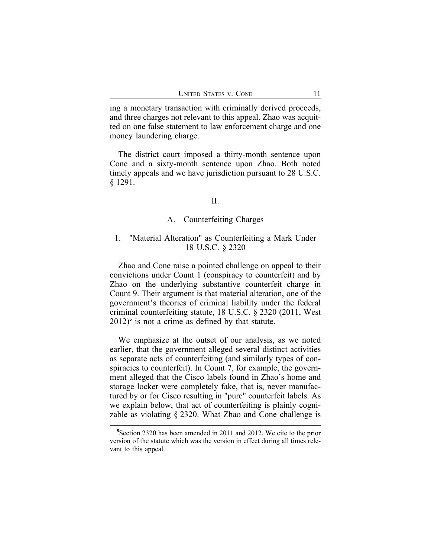ing a monetary transaction with criminally derived proceeds, and three charges not relevant to this appeal. Zhao was acquitted on one false statement to law enforcement charge and one money laundering charge.

The district court imposed a thirty-month sentence upon Cone and a sixty-month sentence upon Zhao. Both noted timely appeals and we have jurisdiction pursuant to 28 U.S.C. § 1291.

## II.

#### A. Counterfeiting Charges

## 1. "Material Alteration" as Counterfeiting a Mark Under 18 U.S.C. § 2320

Zhao and Cone raise a pointed challenge on appeal to their convictions under Count 1 (conspiracy to counterfeit) and by Zhao on the underlying substantive counterfeit charge in Count 9. Their argument is that material alteration, one of the government's theories of criminal liability under the federal criminal counterfeiting statute, 18 U.S.C. § 2320 (2011, West  $2012)$ <sup>5</sup> is not a crime as defined by that statute.

We emphasize at the outset of our analysis, as we noted earlier, that the government alleged several distinct activities as separate acts of counterfeiting (and similarly types of conspiracies to counterfeit). In Count 7, for example, the government alleged that the Cisco labels found in Zhao's home and storage locker were completely fake, that is, never manufactured by or for Cisco resulting in "pure" counterfeit labels. As we explain below, that act of counterfeiting is plainly cognizable as violating § 2320. What Zhao and Cone challenge is

**<sup>5</sup>**Section 2320 has been amended in 2011 and 2012. We cite to the prior version of the statute which was the version in effect during all times relevant to this appeal.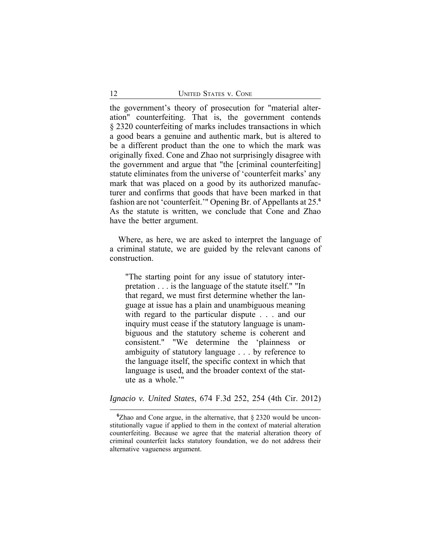the government's theory of prosecution for "material alteration" counterfeiting. That is, the government contends § 2320 counterfeiting of marks includes transactions in which a good bears a genuine and authentic mark, but is altered to be a different product than the one to which the mark was originally fixed. Cone and Zhao not surprisingly disagree with the government and argue that "the [criminal counterfeiting] statute eliminates from the universe of 'counterfeit marks' any mark that was placed on a good by its authorized manufacturer and confirms that goods that have been marked in that fashion are not 'counterfeit.'" Opening Br. of Appellants at 25.**<sup>6</sup>** As the statute is written, we conclude that Cone and Zhao have the better argument.

Where, as here, we are asked to interpret the language of a criminal statute, we are guided by the relevant canons of construction.

"The starting point for any issue of statutory interpretation . . . is the language of the statute itself." "In that regard, we must first determine whether the language at issue has a plain and unambiguous meaning with regard to the particular dispute . . . and our inquiry must cease if the statutory language is unambiguous and the statutory scheme is coherent and consistent." "We determine the 'plainness or ambiguity of statutory language . . . by reference to the language itself, the specific context in which that language is used, and the broader context of the statute as a whole.'"

*Ignacio v. United States*, 674 F.3d 252, 254 (4th Cir. 2012)

**<sup>6</sup>**Zhao and Cone argue, in the alternative, that § 2320 would be unconstitutionally vague if applied to them in the context of material alteration counterfeiting. Because we agree that the material alteration theory of criminal counterfeit lacks statutory foundation, we do not address their alternative vagueness argument.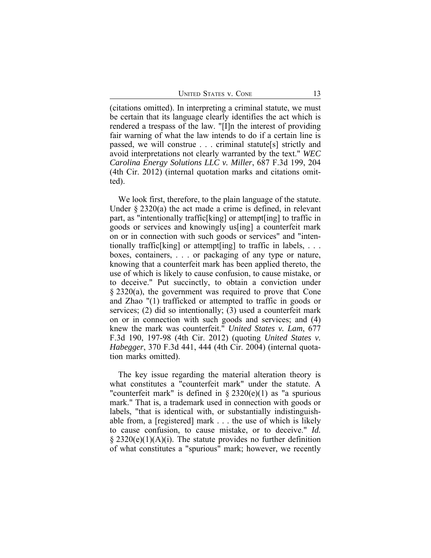UNITED STATES V. CONE 13

(citations omitted). In interpreting a criminal statute, we must be certain that its language clearly identifies the act which is rendered a trespass of the law. "[I]n the interest of providing fair warning of what the law intends to do if a certain line is passed, we will construe . . . criminal statute[s] strictly and avoid interpretations not clearly warranted by the text." *WEC Carolina Energy Solutions LLC v. Miller*, 687 F.3d 199, 204 (4th Cir. 2012) (internal quotation marks and citations omitted).

We look first, therefore, to the plain language of the statute. Under  $\S 2320(a)$  the act made a crime is defined, in relevant part, as "intentionally traffic[king] or attempt[ing] to traffic in goods or services and knowingly us[ing] a counterfeit mark on or in connection with such goods or services" and "intentionally traffic[king] or attempt[ing] to traffic in labels,  $\dots$ boxes, containers, . . . or packaging of any type or nature, knowing that a counterfeit mark has been applied thereto, the use of which is likely to cause confusion, to cause mistake, or to deceive." Put succinctly, to obtain a conviction under § 2320(a), the government was required to prove that Cone and Zhao "(1) trafficked or attempted to traffic in goods or services; (2) did so intentionally; (3) used a counterfeit mark on or in connection with such goods and services; and (4) knew the mark was counterfeit." *United States v. Lam*, 677 F.3d 190, 197-98 (4th Cir. 2012) (quoting *United States v. Habegger*, 370 F.3d 441, 444 (4th Cir. 2004) (internal quotation marks omitted).

The key issue regarding the material alteration theory is what constitutes a "counterfeit mark" under the statute. A "counterfeit mark" is defined in  $\S 2320(e)(1)$  as "a spurious mark." That is, a trademark used in connection with goods or labels, "that is identical with, or substantially indistinguishable from, a [registered] mark . . . the use of which is likely to cause confusion, to cause mistake, or to deceive." *Id.*  $\S 2320(e)(1)(A)(i)$ . The statute provides no further definition of what constitutes a "spurious" mark; however, we recently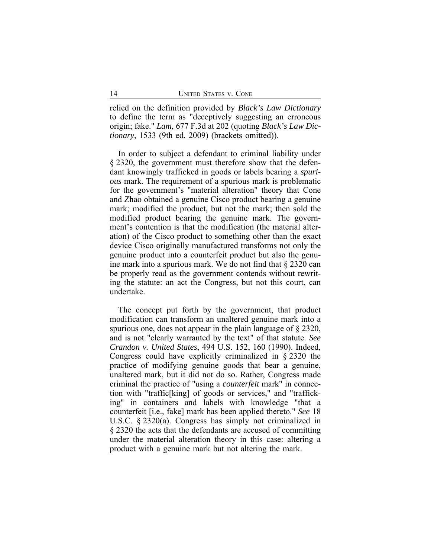relied on the definition provided by *Black's Law Dictionary* to define the term as "deceptively suggesting an erroneous origin; fake." *Lam*, 677 F.3d at 202 (quoting *Black's Law Dictionary*, 1533 (9th ed. 2009) (brackets omitted)).

In order to subject a defendant to criminal liability under § 2320, the government must therefore show that the defendant knowingly trafficked in goods or labels bearing a *spurious* mark. The requirement of a spurious mark is problematic for the government's "material alteration" theory that Cone and Zhao obtained a genuine Cisco product bearing a genuine mark; modified the product, but not the mark; then sold the modified product bearing the genuine mark. The government's contention is that the modification (the material alteration) of the Cisco product to something other than the exact device Cisco originally manufactured transforms not only the genuine product into a counterfeit product but also the genuine mark into a spurious mark. We do not find that § 2320 can be properly read as the government contends without rewriting the statute: an act the Congress, but not this court, can undertake.

The concept put forth by the government, that product modification can transform an unaltered genuine mark into a spurious one, does not appear in the plain language of § 2320, and is not "clearly warranted by the text" of that statute. *See Crandon v. United States*, 494 U.S. 152, 160 (1990). Indeed, Congress could have explicitly criminalized in § 2320 the practice of modifying genuine goods that bear a genuine, unaltered mark, but it did not do so. Rather, Congress made criminal the practice of "using a *counterfeit* mark" in connection with "traffic[king] of goods or services," and "trafficking" in containers and labels with knowledge "that a counterfeit [i.e., fake] mark has been applied thereto." *See* 18 U.S.C. § 2320(a). Congress has simply not criminalized in § 2320 the acts that the defendants are accused of committing under the material alteration theory in this case: altering a product with a genuine mark but not altering the mark.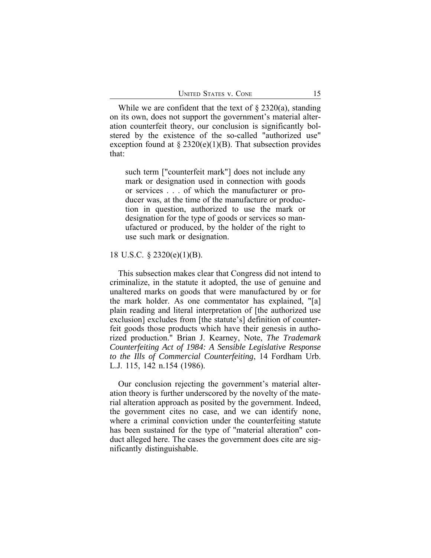While we are confident that the text of  $\S 2320(a)$ , standing on its own, does not support the government's material alteration counterfeit theory, our conclusion is significantly bolstered by the existence of the so-called "authorized use" exception found at  $\S 2320(e)(1)(B)$ . That subsection provides that:

such term ["counterfeit mark"] does not include any mark or designation used in connection with goods or services . . . of which the manufacturer or producer was, at the time of the manufacture or production in question, authorized to use the mark or designation for the type of goods or services so manufactured or produced, by the holder of the right to use such mark or designation.

18 U.S.C. § 2320(e)(1)(B).

This subsection makes clear that Congress did not intend to criminalize, in the statute it adopted, the use of genuine and unaltered marks on goods that were manufactured by or for the mark holder. As one commentator has explained, "[a] plain reading and literal interpretation of [the authorized use exclusion] excludes from [the statute's] definition of counterfeit goods those products which have their genesis in authorized production." Brian J. Kearney, Note, *The Trademark Counterfeiting Act of 1984: A Sensible Legislative Response to the Ills of Commercial Counterfeiting*, 14 Fordham Urb. L.J. 115, 142 n.154 (1986).

Our conclusion rejecting the government's material alteration theory is further underscored by the novelty of the material alteration approach as posited by the government. Indeed, the government cites no case, and we can identify none, where a criminal conviction under the counterfeiting statute has been sustained for the type of "material alteration" conduct alleged here. The cases the government does cite are significantly distinguishable.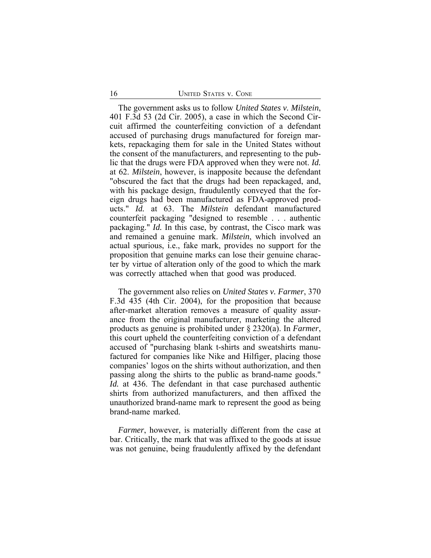The government asks us to follow *United States v. Milstein*, 401 F.3d 53 (2d Cir. 2005), a case in which the Second Circuit affirmed the counterfeiting conviction of a defendant accused of purchasing drugs manufactured for foreign markets, repackaging them for sale in the United States without the consent of the manufacturers, and representing to the public that the drugs were FDA approved when they were not. *Id.* at 62. *Milstein*, however, is inapposite because the defendant "obscured the fact that the drugs had been repackaged, and, with his package design, fraudulently conveyed that the foreign drugs had been manufactured as FDA-approved products." *Id.* at 63. The *Milstein* defendant manufactured counterfeit packaging "designed to resemble . . . authentic packaging." *Id.* In this case, by contrast, the Cisco mark was and remained a genuine mark. *Milstein*, which involved an actual spurious, i.e., fake mark, provides no support for the proposition that genuine marks can lose their genuine character by virtue of alteration only of the good to which the mark was correctly attached when that good was produced.

The government also relies on *United States v. Farmer*, 370 F.3d 435 (4th Cir. 2004), for the proposition that because after-market alteration removes a measure of quality assurance from the original manufacturer, marketing the altered products as genuine is prohibited under § 2320(a). In *Farmer*, this court upheld the counterfeiting conviction of a defendant accused of "purchasing blank t-shirts and sweatshirts manufactured for companies like Nike and Hilfiger, placing those companies' logos on the shirts without authorization, and then passing along the shirts to the public as brand-name goods." *Id.* at 436. The defendant in that case purchased authentic shirts from authorized manufacturers, and then affixed the unauthorized brand-name mark to represent the good as being brand-name marked.

*Farmer*, however, is materially different from the case at bar. Critically, the mark that was affixed to the goods at issue was not genuine, being fraudulently affixed by the defendant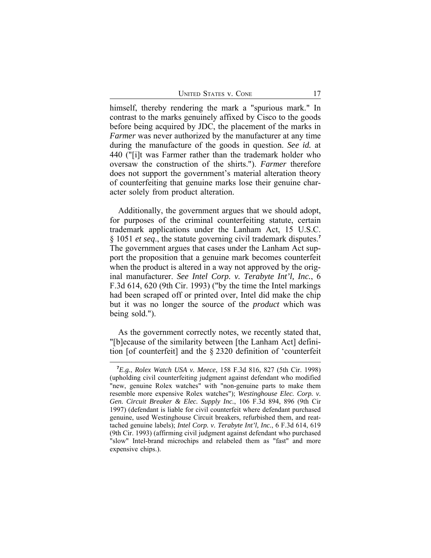| <b>UNITED STATES V. CONE</b> |  |  |
|------------------------------|--|--|
|------------------------------|--|--|

himself, thereby rendering the mark a "spurious mark." In contrast to the marks genuinely affixed by Cisco to the goods before being acquired by JDC, the placement of the marks in *Farmer* was never authorized by the manufacturer at any time during the manufacture of the goods in question. *See id.* at 440 ("[i]t was Farmer rather than the trademark holder who oversaw the construction of the shirts."). *Farmer* therefore does not support the government's material alteration theory of counterfeiting that genuine marks lose their genuine character solely from product alteration.

Additionally, the government argues that we should adopt, for purposes of the criminal counterfeiting statute, certain trademark applications under the Lanham Act, 15 U.S.C. § 1051 *et seq*., the statute governing civil trademark disputes.**<sup>7</sup>** The government argues that cases under the Lanham Act support the proposition that a genuine mark becomes counterfeit when the product is altered in a way not approved by the original manufacturer. *See Intel Corp. v. Terabyte Int'l, Inc.*, 6 F.3d 614, 620 (9th Cir. 1993) ("by the time the Intel markings had been scraped off or printed over, Intel did make the chip but it was no longer the source of the *product* which was being sold.").

As the government correctly notes, we recently stated that, "[b]ecause of the similarity between [the Lanham Act] definition [of counterfeit] and the § 2320 definition of 'counterfeit

**<sup>7</sup>***E.g.*, *Rolex Watch USA v. Meece*, 158 F.3d 816, 827 (5th Cir. 1998) (upholding civil counterfeiting judgment against defendant who modified "new, genuine Rolex watches" with "non-genuine parts to make them resemble more expensive Rolex watches"); *Westinghouse Elec. Corp. v. Gen. Circuit Breaker & Elec. Supply Inc.*, 106 F.3d 894, 896 (9th Cir 1997) (defendant is liable for civil counterfeit where defendant purchased genuine, used Westinghouse Circuit breakers, refurbished them, and reattached genuine labels); *Intel Corp. v. Terabyte Int'l, Inc.*, 6 F.3d 614, 619 (9th Cir. 1993) (affirming civil judgment against defendant who purchased "slow" Intel-brand microchips and relabeled them as "fast" and more expensive chips.).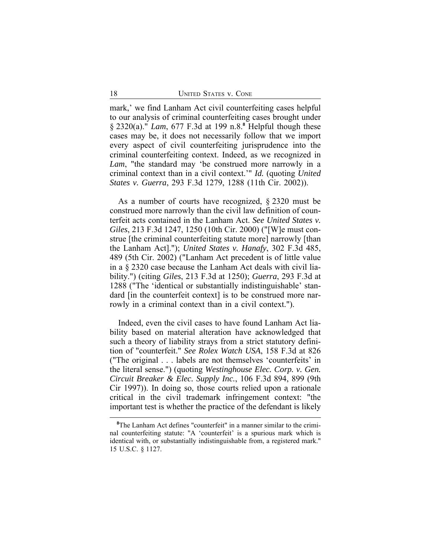mark,' we find Lanham Act civil counterfeiting cases helpful to our analysis of criminal counterfeiting cases brought under § 2320(a)." *Lam*, 677 F.3d at 199 n.8.**<sup>8</sup>** Helpful though these cases may be, it does not necessarily follow that we import every aspect of civil counterfeiting jurisprudence into the criminal counterfeiting context. Indeed, as we recognized in *Lam*, "the standard may 'be construed more narrowly in a criminal context than in a civil context.'" *Id.* (quoting *United States v. Guerra*, 293 F.3d 1279, 1288 (11th Cir. 2002)).

As a number of courts have recognized, § 2320 must be construed more narrowly than the civil law definition of counterfeit acts contained in the Lanham Act. *See United States v. Giles*, 213 F.3d 1247, 1250 (10th Cir. 2000) ("[W]e must construe [the criminal counterfeiting statute more] narrowly [than the Lanham Act]."); *United States v. Hanafy*, 302 F.3d 485, 489 (5th Cir. 2002) ("Lanham Act precedent is of little value in a § 2320 case because the Lanham Act deals with civil liability.") (citing *Giles*, 213 F.3d at 1250); *Guerra*, 293 F.3d at 1288 ("The 'identical or substantially indistinguishable' standard [in the counterfeit context] is to be construed more narrowly in a criminal context than in a civil context.").

Indeed, even the civil cases to have found Lanham Act liability based on material alteration have acknowledged that such a theory of liability strays from a strict statutory definition of "counterfeit." *See Rolex Watch USA*, 158 F.3d at 826 ("The original . . . labels are not themselves 'counterfeits' in the literal sense.") (quoting *Westinghouse Elec. Corp. v. Gen. Circuit Breaker & Elec. Supply Inc.*, 106 F.3d 894, 899 (9th Cir 1997)). In doing so, those courts relied upon a rationale critical in the civil trademark infringement context: "the important test is whether the practice of the defendant is likely

**<sup>8</sup>**The Lanham Act defines "counterfeit" in a manner similar to the criminal counterfeiting statute: "A 'counterfeit' is a spurious mark which is identical with, or substantially indistinguishable from, a registered mark." 15 U.S.C. § 1127.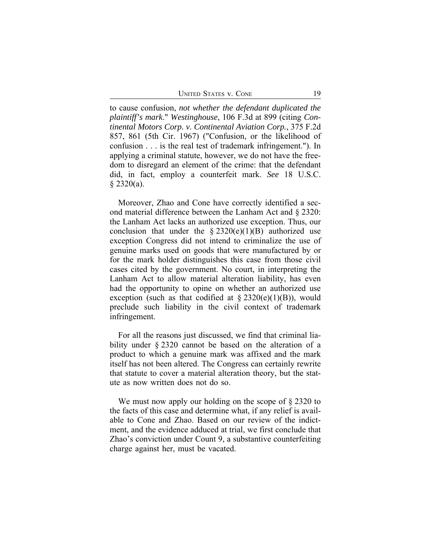UNITED STATES V. CONE 19

to cause confusion, *not whether the defendant duplicated the plaintiff's mark*." *Westinghouse*, 106 F.3d at 899 (citing *Continental Motors Corp. v. Continental Aviation Corp.*, 375 F.2d 857, 861 (5th Cir. 1967) ("Confusion, or the likelihood of confusion . . . is the real test of trademark infringement."). In applying a criminal statute, however, we do not have the freedom to disregard an element of the crime: that the defendant did, in fact, employ a counterfeit mark. *See* 18 U.S.C.  $§$  2320(a).

Moreover, Zhao and Cone have correctly identified a second material difference between the Lanham Act and § 2320: the Lanham Act lacks an authorized use exception. Thus, our conclusion that under the  $\S 2320(e)(1)(B)$  authorized use exception Congress did not intend to criminalize the use of genuine marks used on goods that were manufactured by or for the mark holder distinguishes this case from those civil cases cited by the government. No court, in interpreting the Lanham Act to allow material alteration liability, has even had the opportunity to opine on whether an authorized use exception (such as that codified at  $\S 2320(e)(1)(B)$ ), would preclude such liability in the civil context of trademark infringement.

For all the reasons just discussed, we find that criminal liability under § 2320 cannot be based on the alteration of a product to which a genuine mark was affixed and the mark itself has not been altered. The Congress can certainly rewrite that statute to cover a material alteration theory, but the statute as now written does not do so.

We must now apply our holding on the scope of § 2320 to the facts of this case and determine what, if any relief is available to Cone and Zhao. Based on our review of the indictment, and the evidence adduced at trial, we first conclude that Zhao's conviction under Count 9, a substantive counterfeiting charge against her, must be vacated.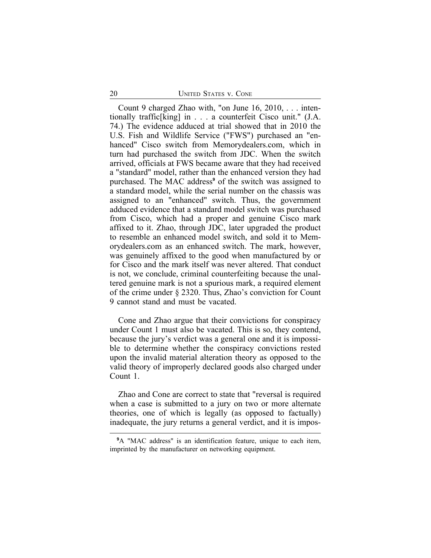Count 9 charged Zhao with, "on June 16, 2010, . . . intentionally traffic[king] in . . . a counterfeit Cisco unit." (J.A. 74.) The evidence adduced at trial showed that in 2010 the U.S. Fish and Wildlife Service ("FWS") purchased an "enhanced" Cisco switch from Memorydealers.com, which in turn had purchased the switch from JDC. When the switch arrived, officials at FWS became aware that they had received a "standard" model, rather than the enhanced version they had purchased. The MAC address**<sup>9</sup>** of the switch was assigned to a standard model, while the serial number on the chassis was assigned to an "enhanced" switch. Thus, the government adduced evidence that a standard model switch was purchased from Cisco, which had a proper and genuine Cisco mark affixed to it. Zhao, through JDC, later upgraded the product to resemble an enhanced model switch, and sold it to Memorydealers.com as an enhanced switch. The mark, however, was genuinely affixed to the good when manufactured by or for Cisco and the mark itself was never altered. That conduct is not, we conclude, criminal counterfeiting because the unaltered genuine mark is not a spurious mark, a required element of the crime under § 2320. Thus, Zhao's conviction for Count 9 cannot stand and must be vacated.

Cone and Zhao argue that their convictions for conspiracy under Count 1 must also be vacated. This is so, they contend, because the jury's verdict was a general one and it is impossible to determine whether the conspiracy convictions rested upon the invalid material alteration theory as opposed to the valid theory of improperly declared goods also charged under Count 1.

Zhao and Cone are correct to state that "reversal is required when a case is submitted to a jury on two or more alternate theories, one of which is legally (as opposed to factually) inadequate, the jury returns a general verdict, and it is impos-

<sup>&</sup>lt;sup>9</sup>A "MAC address" is an identification feature, unique to each item, imprinted by the manufacturer on networking equipment.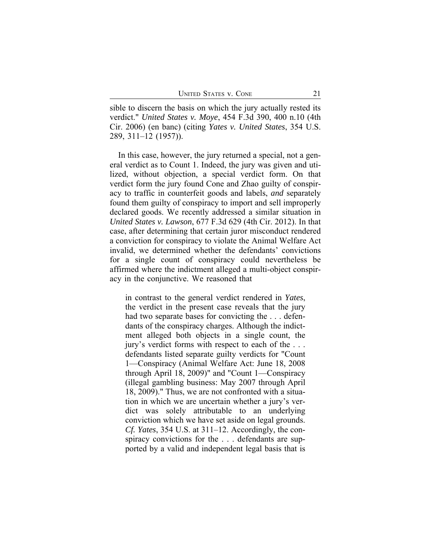sible to discern the basis on which the jury actually rested its verdict." *United States v. Moye*, 454 F.3d 390, 400 n.10 (4th Cir. 2006) (en banc) (citing *Yates v. United States*, 354 U.S. 289, 311–12 (1957)).

In this case, however, the jury returned a special, not a general verdict as to Count 1. Indeed, the jury was given and utilized, without objection, a special verdict form. On that verdict form the jury found Cone and Zhao guilty of conspiracy to traffic in counterfeit goods and labels, *and* separately found them guilty of conspiracy to import and sell improperly declared goods. We recently addressed a similar situation in *United States v. Lawson*, 677 F.3d 629 (4th Cir. 2012). In that case, after determining that certain juror misconduct rendered a conviction for conspiracy to violate the Animal Welfare Act invalid, we determined whether the defendants' convictions for a single count of conspiracy could nevertheless be affirmed where the indictment alleged a multi-object conspiracy in the conjunctive. We reasoned that

in contrast to the general verdict rendered in *Yates*, the verdict in the present case reveals that the jury had two separate bases for convicting the ... defendants of the conspiracy charges. Although the indictment alleged both objects in a single count, the jury's verdict forms with respect to each of the . . . defendants listed separate guilty verdicts for "Count 1—Conspiracy (Animal Welfare Act: June 18, 2008 through April 18, 2009)" and "Count 1—Conspiracy (illegal gambling business: May 2007 through April 18, 2009)." Thus, we are not confronted with a situation in which we are uncertain whether a jury's verdict was solely attributable to an underlying conviction which we have set aside on legal grounds. *Cf. Yates*, 354 U.S. at 311–12. Accordingly, the conspiracy convictions for the . . . defendants are supported by a valid and independent legal basis that is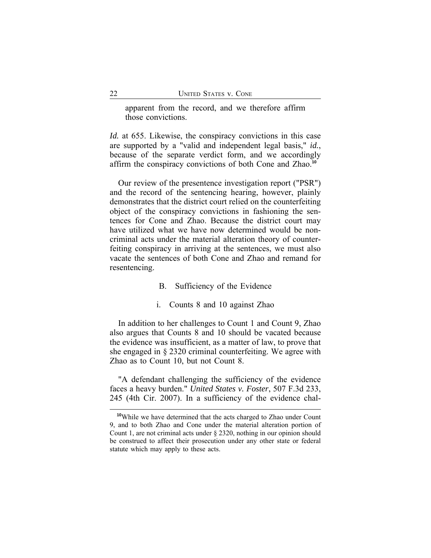apparent from the record, and we therefore affirm those convictions.

*Id.* at 655. Likewise, the conspiracy convictions in this case are supported by a "valid and independent legal basis," *id.*, because of the separate verdict form, and we accordingly affirm the conspiracy convictions of both Cone and Zhao.**<sup>10</sup>**

Our review of the presentence investigation report ("PSR") and the record of the sentencing hearing, however, plainly demonstrates that the district court relied on the counterfeiting object of the conspiracy convictions in fashioning the sentences for Cone and Zhao. Because the district court may have utilized what we have now determined would be noncriminal acts under the material alteration theory of counterfeiting conspiracy in arriving at the sentences, we must also vacate the sentences of both Cone and Zhao and remand for resentencing.

- B. Sufficiency of the Evidence
- i. Counts 8 and 10 against Zhao

In addition to her challenges to Count 1 and Count 9, Zhao also argues that Counts 8 and 10 should be vacated because the evidence was insufficient, as a matter of law, to prove that she engaged in § 2320 criminal counterfeiting. We agree with Zhao as to Count 10, but not Count 8.

"A defendant challenging the sufficiency of the evidence faces a heavy burden." *United States v. Foster*, 507 F.3d 233, 245 (4th Cir. 2007). In a sufficiency of the evidence chal-

**<sup>10</sup>**While we have determined that the acts charged to Zhao under Count 9, and to both Zhao and Cone under the material alteration portion of Count 1, are not criminal acts under § 2320, nothing in our opinion should be construed to affect their prosecution under any other state or federal statute which may apply to these acts.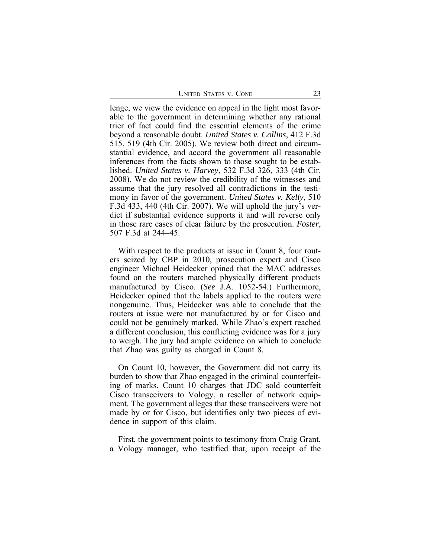UNITED STATES V. CONE 23

lenge, we view the evidence on appeal in the light most favorable to the government in determining whether any rational trier of fact could find the essential elements of the crime beyond a reasonable doubt. *United States v. Collins*, 412 F.3d 515, 519 (4th Cir. 2005). We review both direct and circumstantial evidence, and accord the government all reasonable inferences from the facts shown to those sought to be established. *United States v. Harvey*, 532 F.3d 326, 333 (4th Cir. 2008). We do not review the credibility of the witnesses and assume that the jury resolved all contradictions in the testimony in favor of the government. *United States v. Kelly*, 510 F.3d 433, 440 (4th Cir. 2007). We will uphold the jury's verdict if substantial evidence supports it and will reverse only in those rare cases of clear failure by the prosecution. *Foster*, 507 F.3d at 244–45.

With respect to the products at issue in Count 8, four routers seized by CBP in 2010, prosecution expert and Cisco engineer Michael Heidecker opined that the MAC addresses found on the routers matched physically different products manufactured by Cisco. (*See* J.A. 1052-54.) Furthermore, Heidecker opined that the labels applied to the routers were nongenuine. Thus, Heidecker was able to conclude that the routers at issue were not manufactured by or for Cisco and could not be genuinely marked. While Zhao's expert reached a different conclusion, this conflicting evidence was for a jury to weigh. The jury had ample evidence on which to conclude that Zhao was guilty as charged in Count 8.

On Count 10, however, the Government did not carry its burden to show that Zhao engaged in the criminal counterfeiting of marks. Count 10 charges that JDC sold counterfeit Cisco transceivers to Vology, a reseller of network equipment. The government alleges that these transceivers were not made by or for Cisco, but identifies only two pieces of evidence in support of this claim.

First, the government points to testimony from Craig Grant, a Vology manager, who testified that, upon receipt of the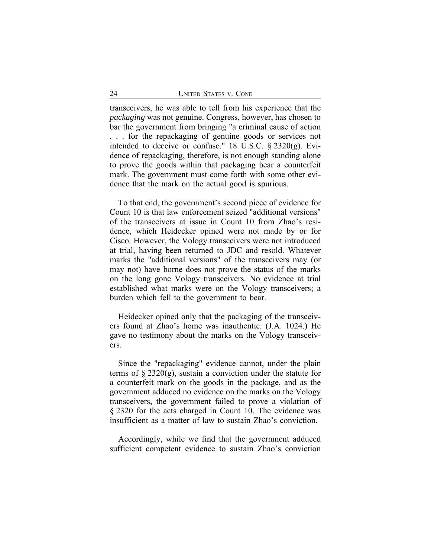transceivers, he was able to tell from his experience that the *packaging* was not genuine. Congress, however, has chosen to bar the government from bringing "a criminal cause of action . . . for the repackaging of genuine goods or services not intended to deceive or confuse." 18 U.S.C. § 2320(g). Evidence of repackaging, therefore, is not enough standing alone to prove the goods within that packaging bear a counterfeit mark. The government must come forth with some other evidence that the mark on the actual good is spurious.

To that end, the government's second piece of evidence for Count 10 is that law enforcement seized "additional versions" of the transceivers at issue in Count 10 from Zhao's residence, which Heidecker opined were not made by or for Cisco. However, the Vology transceivers were not introduced at trial, having been returned to JDC and resold. Whatever marks the "additional versions" of the transceivers may (or may not) have borne does not prove the status of the marks on the long gone Vology transceivers. No evidence at trial established what marks were on the Vology transceivers; a burden which fell to the government to bear.

Heidecker opined only that the packaging of the transceivers found at Zhao's home was inauthentic. (J.A. 1024.) He gave no testimony about the marks on the Vology transceivers.

Since the "repackaging" evidence cannot, under the plain terms of  $\S 2320(g)$ , sustain a conviction under the statute for a counterfeit mark on the goods in the package, and as the government adduced no evidence on the marks on the Vology transceivers, the government failed to prove a violation of § 2320 for the acts charged in Count 10. The evidence was insufficient as a matter of law to sustain Zhao's conviction.

Accordingly, while we find that the government adduced sufficient competent evidence to sustain Zhao's conviction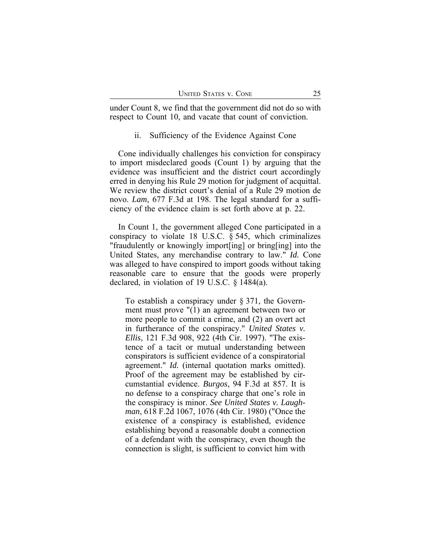under Count 8, we find that the government did not do so with respect to Count 10, and vacate that count of conviction.

#### ii. Sufficiency of the Evidence Against Cone

Cone individually challenges his conviction for conspiracy to import misdeclared goods (Count 1) by arguing that the evidence was insufficient and the district court accordingly erred in denying his Rule 29 motion for judgment of acquittal. We review the district court's denial of a Rule 29 motion de novo. *Lam*, 677 F.3d at 198. The legal standard for a sufficiency of the evidence claim is set forth above at p. 22.

In Count 1, the government alleged Cone participated in a conspiracy to violate 18 U.S.C. § 545, which criminalizes "fraudulently or knowingly import[ing] or bring[ing] into the United States, any merchandise contrary to law." *Id.* Cone was alleged to have conspired to import goods without taking reasonable care to ensure that the goods were properly declared, in violation of 19 U.S.C. § 1484(a).

To establish a conspiracy under § 371, the Government must prove "(1) an agreement between two or more people to commit a crime, and (2) an overt act in furtherance of the conspiracy." *United States v. Ellis*, 121 F.3d 908, 922 (4th Cir. 1997). "The existence of a tacit or mutual understanding between conspirators is sufficient evidence of a conspiratorial agreement." *Id.* (internal quotation marks omitted). Proof of the agreement may be established by circumstantial evidence. *Burgos*, 94 F.3d at 857. It is no defense to a conspiracy charge that one's role in the conspiracy is minor. *See United States v. Laughman*, 618 F.2d 1067, 1076 (4th Cir. 1980) ("Once the existence of a conspiracy is established, evidence establishing beyond a reasonable doubt a connection of a defendant with the conspiracy, even though the connection is slight, is sufficient to convict him with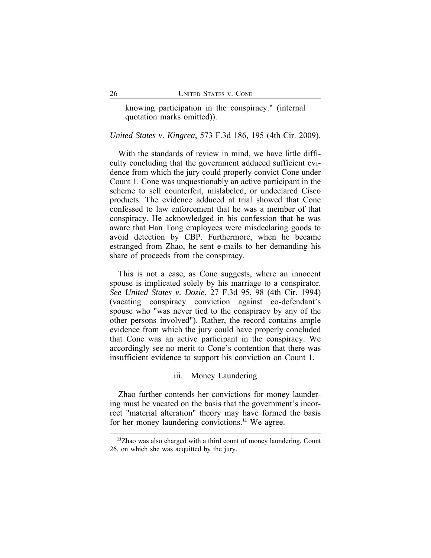knowing participation in the conspiracy." (internal quotation marks omitted)).

## *United States v. Kingrea*, 573 F.3d 186, 195 (4th Cir. 2009).

With the standards of review in mind, we have little difficulty concluding that the government adduced sufficient evidence from which the jury could properly convict Cone under Count 1. Cone was unquestionably an active participant in the scheme to sell counterfeit, mislabeled, or undeclared Cisco products. The evidence adduced at trial showed that Cone confessed to law enforcement that he was a member of that conspiracy. He acknowledged in his confession that he was aware that Han Tong employees were misdeclaring goods to avoid detection by CBP. Furthermore, when he became estranged from Zhao, he sent e-mails to her demanding his share of proceeds from the conspiracy.

This is not a case, as Cone suggests, where an innocent spouse is implicated solely by his marriage to a conspirator. *See United States v. Dozie*, 27 F.3d 95, 98 (4th Cir. 1994) (vacating conspiracy conviction against co-defendant's spouse who "was never tied to the conspiracy by any of the other persons involved"). Rather, the record contains ample evidence from which the jury could have properly concluded that Cone was an active participant in the conspiracy. We accordingly see no merit to Cone's contention that there was insufficient evidence to support his conviction on Count 1.

## iii. Money Laundering

Zhao further contends her convictions for money laundering must be vacated on the basis that the government's incorrect "material alteration" theory may have formed the basis for her money laundering convictions.**<sup>11</sup>** We agree.

**<sup>11</sup>**Zhao was also charged with a third count of money laundering, Count 26, on which she was acquitted by the jury.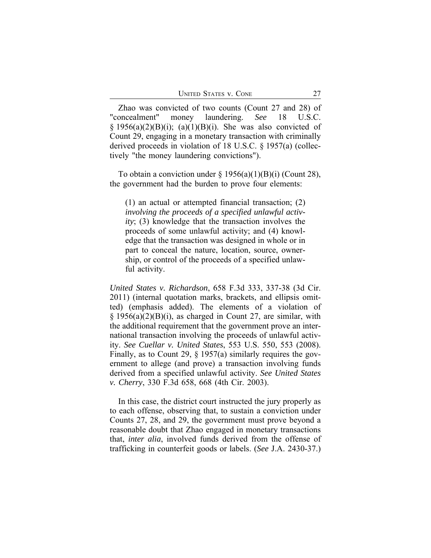| <b>UNITED STATES V. CONE</b> |  |
|------------------------------|--|
|------------------------------|--|

Zhao was convicted of two counts (Count 27 and 28) of "concealment" money laundering. *See* 18 U.S.C.  $\S 1956(a)(2)(B)(i)$ ; (a)(1)(B)(i). She was also convicted of Count 29, engaging in a monetary transaction with criminally derived proceeds in violation of 18 U.S.C. § 1957(a) (collectively "the money laundering convictions").

To obtain a conviction under  $\S 1956(a)(1)(B)(i)$  (Count 28), the government had the burden to prove four elements:

(1) an actual or attempted financial transaction; (2) *involving the proceeds of a specified unlawful activity*; (3) knowledge that the transaction involves the proceeds of some unlawful activity; and (4) knowledge that the transaction was designed in whole or in part to conceal the nature, location, source, ownership, or control of the proceeds of a specified unlawful activity.

*United States v. Richardson*, 658 F.3d 333, 337-38 (3d Cir. 2011) (internal quotation marks, brackets, and ellipsis omitted) (emphasis added). The elements of a violation of  $\S$  1956(a)(2)(B)(i), as charged in Count 27, are similar, with the additional requirement that the government prove an international transaction involving the proceeds of unlawful activity. *See Cuellar v. United States*, 553 U.S. 550, 553 (2008). Finally, as to Count 29, § 1957(a) similarly requires the government to allege (and prove) a transaction involving funds derived from a specified unlawful activity. *See United States v. Cherry*, 330 F.3d 658, 668 (4th Cir. 2003).

In this case, the district court instructed the jury properly as to each offense, observing that, to sustain a conviction under Counts 27, 28, and 29, the government must prove beyond a reasonable doubt that Zhao engaged in monetary transactions that, *inter alia*, involved funds derived from the offense of trafficking in counterfeit goods or labels. (*See* J.A. 2430-37.)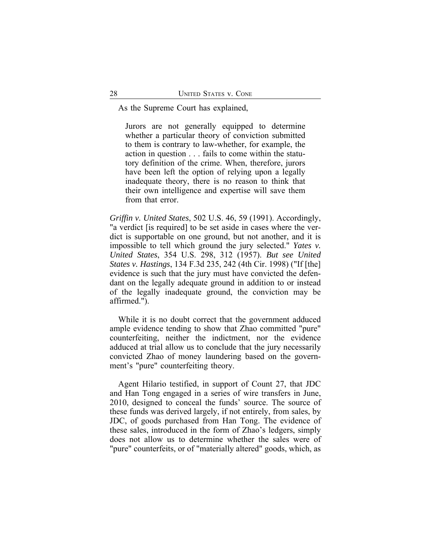As the Supreme Court has explained,

Jurors are not generally equipped to determine whether a particular theory of conviction submitted to them is contrary to law-whether, for example, the action in question . . . fails to come within the statutory definition of the crime. When, therefore, jurors have been left the option of relying upon a legally inadequate theory, there is no reason to think that their own intelligence and expertise will save them from that error.

*Griffin v. United States*, 502 U.S. 46, 59 (1991). Accordingly, "a verdict [is required] to be set aside in cases where the verdict is supportable on one ground, but not another, and it is impossible to tell which ground the jury selected." *Yates v. United States*, 354 U.S. 298, 312 (1957). *But see United States v. Hastings*, 134 F.3d 235, 242 (4th Cir. 1998) ("If [the] evidence is such that the jury must have convicted the defendant on the legally adequate ground in addition to or instead of the legally inadequate ground, the conviction may be affirmed.").

While it is no doubt correct that the government adduced ample evidence tending to show that Zhao committed "pure" counterfeiting, neither the indictment, nor the evidence adduced at trial allow us to conclude that the jury necessarily convicted Zhao of money laundering based on the government's "pure" counterfeiting theory.

Agent Hilario testified, in support of Count 27, that JDC and Han Tong engaged in a series of wire transfers in June, 2010, designed to conceal the funds' source. The source of these funds was derived largely, if not entirely, from sales, by JDC, of goods purchased from Han Tong. The evidence of these sales, introduced in the form of Zhao's ledgers, simply does not allow us to determine whether the sales were of "pure" counterfeits, or of "materially altered" goods, which, as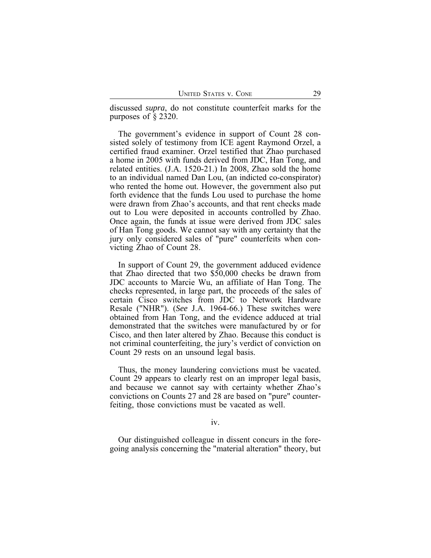discussed *supra*, do not constitute counterfeit marks for the purposes of § 2320.

The government's evidence in support of Count 28 consisted solely of testimony from ICE agent Raymond Orzel, a certified fraud examiner. Orzel testified that Zhao purchased a home in 2005 with funds derived from JDC, Han Tong, and related entities. (J.A. 1520-21.) In 2008, Zhao sold the home to an individual named Dan Lou, (an indicted co-conspirator) who rented the home out. However, the government also put forth evidence that the funds Lou used to purchase the home were drawn from Zhao's accounts, and that rent checks made out to Lou were deposited in accounts controlled by Zhao. Once again, the funds at issue were derived from JDC sales of Han Tong goods. We cannot say with any certainty that the jury only considered sales of "pure" counterfeits when convicting Zhao of Count 28.

In support of Count 29, the government adduced evidence that Zhao directed that two \$50,000 checks be drawn from JDC accounts to Marcie Wu, an affiliate of Han Tong. The checks represented, in large part, the proceeds of the sales of certain Cisco switches from JDC to Network Hardware Resale ("NHR"). (*See* J.A. 1964-66.) These switches were obtained from Han Tong, and the evidence adduced at trial demonstrated that the switches were manufactured by or for Cisco, and then later altered by Zhao. Because this conduct is not criminal counterfeiting, the jury's verdict of conviction on Count 29 rests on an unsound legal basis.

Thus, the money laundering convictions must be vacated. Count 29 appears to clearly rest on an improper legal basis, and because we cannot say with certainty whether Zhao's convictions on Counts 27 and 28 are based on "pure" counterfeiting, those convictions must be vacated as well.

#### iv.

Our distinguished colleague in dissent concurs in the foregoing analysis concerning the "material alteration" theory, but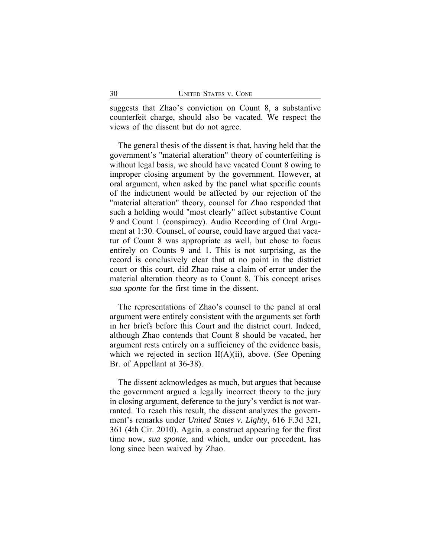suggests that Zhao's conviction on Count 8, a substantive counterfeit charge, should also be vacated. We respect the views of the dissent but do not agree.

The general thesis of the dissent is that, having held that the government's "material alteration" theory of counterfeiting is without legal basis, we should have vacated Count 8 owing to improper closing argument by the government. However, at oral argument, when asked by the panel what specific counts of the indictment would be affected by our rejection of the "material alteration" theory, counsel for Zhao responded that such a holding would "most clearly" affect substantive Count 9 and Count 1 (conspiracy). Audio Recording of Oral Argument at 1:30. Counsel, of course, could have argued that vacatur of Count 8 was appropriate as well, but chose to focus entirely on Counts 9 and 1. This is not surprising, as the record is conclusively clear that at no point in the district court or this court, did Zhao raise a claim of error under the material alteration theory as to Count 8. This concept arises *sua sponte* for the first time in the dissent.

The representations of Zhao's counsel to the panel at oral argument were entirely consistent with the arguments set forth in her briefs before this Court and the district court. Indeed, although Zhao contends that Count 8 should be vacated, her argument rests entirely on a sufficiency of the evidence basis, which we rejected in section II(A)(ii), above. (*See* Opening Br. of Appellant at 36-38).

The dissent acknowledges as much, but argues that because the government argued a legally incorrect theory to the jury in closing argument, deference to the jury's verdict is not warranted. To reach this result, the dissent analyzes the government's remarks under *United States v. Lighty*, 616 F.3d 321, 361 (4th Cir. 2010). Again, a construct appearing for the first time now, *sua sponte*, and which, under our precedent, has long since been waived by Zhao.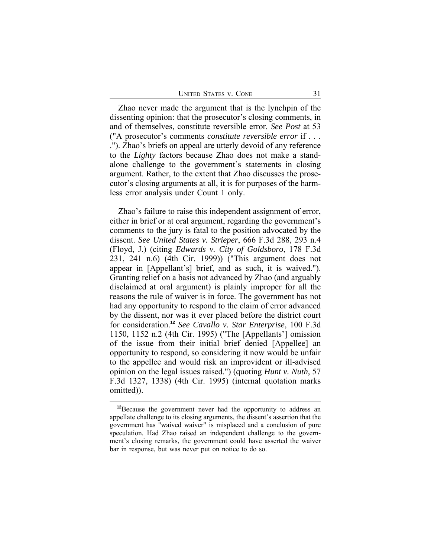UNITED STATES V. CONE 31

Zhao never made the argument that is the lynchpin of the dissenting opinion: that the prosecutor's closing comments, in and of themselves, constitute reversible error. *See Post* at 53 ("A prosecutor's comments *constitute reversible error* if . . . ."). Zhao's briefs on appeal are utterly devoid of any reference to the *Lighty* factors because Zhao does not make a standalone challenge to the government's statements in closing argument. Rather, to the extent that Zhao discusses the prosecutor's closing arguments at all, it is for purposes of the harmless error analysis under Count 1 only.

Zhao's failure to raise this independent assignment of error, either in brief or at oral argument, regarding the government's comments to the jury is fatal to the position advocated by the dissent. *See United States v. Strieper*, 666 F.3d 288, 293 n.4 (Floyd, J.) (citing *Edwards v. City of Goldsboro*, 178 F.3d 231, 241 n.6) (4th Cir. 1999)) ("This argument does not appear in [Appellant's] brief, and as such, it is waived."). Granting relief on a basis not advanced by Zhao (and arguably disclaimed at oral argument) is plainly improper for all the reasons the rule of waiver is in force. The government has not had any opportunity to respond to the claim of error advanced by the dissent, nor was it ever placed before the district court for consideration.**<sup>12</sup>** *See Cavallo v. Star Enterprise*, 100 F.3d 1150, 1152 n.2 (4th Cir. 1995) ("The [Appellants'] omission of the issue from their initial brief denied [Appellee] an opportunity to respond, so considering it now would be unfair to the appellee and would risk an improvident or ill-advised opinion on the legal issues raised.") (quoting *Hunt v. Nuth*, 57 F.3d 1327, 1338) (4th Cir. 1995) (internal quotation marks omitted)).

**<sup>12</sup>**Because the government never had the opportunity to address an appellate challenge to its closing arguments, the dissent's assertion that the government has "waived waiver" is misplaced and a conclusion of pure speculation. Had Zhao raised an independent challenge to the government's closing remarks, the government could have asserted the waiver bar in response, but was never put on notice to do so.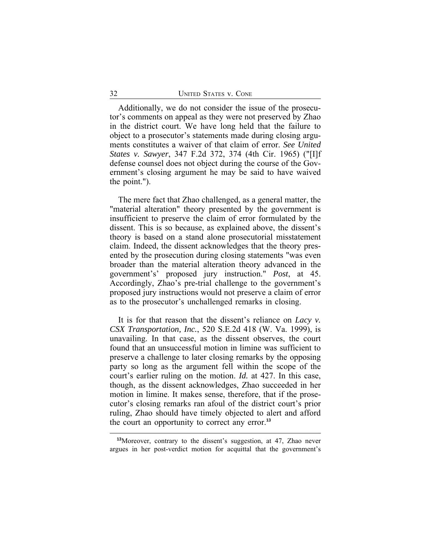Additionally, we do not consider the issue of the prosecutor's comments on appeal as they were not preserved by Zhao in the district court. We have long held that the failure to object to a prosecutor's statements made during closing arguments constitutes a waiver of that claim of error. *See United States v. Sawyer*, 347 F.2d 372, 374 (4th Cir. 1965) ("[I]f defense counsel does not object during the course of the Government's closing argument he may be said to have waived the point.").

The mere fact that Zhao challenged, as a general matter, the "material alteration" theory presented by the government is insufficient to preserve the claim of error formulated by the dissent. This is so because, as explained above, the dissent's theory is based on a stand alone prosecutorial misstatement claim. Indeed, the dissent acknowledges that the theory presented by the prosecution during closing statements "was even broader than the material alteration theory advanced in the government's' proposed jury instruction." *Post*, at 45. Accordingly, Zhao's pre-trial challenge to the government's proposed jury instructions would not preserve a claim of error as to the prosecutor's unchallenged remarks in closing.

It is for that reason that the dissent's reliance on *Lacy v. CSX Transportation, Inc.*, 520 S.E.2d 418 (W. Va. 1999), is unavailing. In that case, as the dissent observes, the court found that an unsuccessful motion in limine was sufficient to preserve a challenge to later closing remarks by the opposing party so long as the argument fell within the scope of the court's earlier ruling on the motion. *Id.* at 427. In this case, though, as the dissent acknowledges, Zhao succeeded in her motion in limine. It makes sense, therefore, that if the prosecutor's closing remarks ran afoul of the district court's prior ruling, Zhao should have timely objected to alert and afford the court an opportunity to correct any error.**<sup>13</sup>**

**<sup>13</sup>**Moreover, contrary to the dissent's suggestion, at 47, Zhao never argues in her post-verdict motion for acquittal that the government's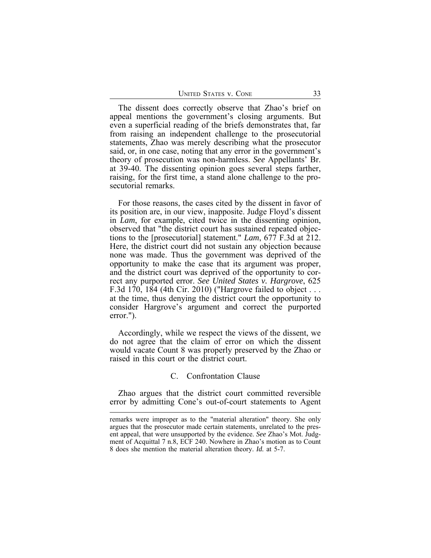The dissent does correctly observe that Zhao's brief on appeal mentions the government's closing arguments. But even a superficial reading of the briefs demonstrates that, far from raising an independent challenge to the prosecutorial statements, Zhao was merely describing what the prosecutor said, or, in one case, noting that any error in the government's theory of prosecution was non-harmless. *See* Appellants' Br. at 39-40. The dissenting opinion goes several steps farther, raising, for the first time, a stand alone challenge to the prosecutorial remarks.

For those reasons, the cases cited by the dissent in favor of its position are, in our view, inapposite. Judge Floyd's dissent in *Lam*, for example, cited twice in the dissenting opinion, observed that "the district court has sustained repeated objections to the [prosecutorial] statement." *Lam*, 677 F.3d at 212. Here, the district court did not sustain any objection because none was made. Thus the government was deprived of the opportunity to make the case that its argument was proper, and the district court was deprived of the opportunity to correct any purported error. *See United States v. Hargrove*, 625 F.3d 170, 184 (4th Cir. 2010) ("Hargrove failed to object . . . at the time, thus denying the district court the opportunity to consider Hargrove's argument and correct the purported error.").

Accordingly, while we respect the views of the dissent, we do not agree that the claim of error on which the dissent would vacate Count 8 was properly preserved by the Zhao or raised in this court or the district court.

#### C. Confrontation Clause

Zhao argues that the district court committed reversible error by admitting Cone's out-of-court statements to Agent

remarks were improper as to the "material alteration" theory. She only argues that the prosecutor made certain statements, unrelated to the present appeal, that were unsupported by the evidence. *See* Zhao's Mot. Judgment of Acquittal 7 n.8, ECF 240. Nowhere in Zhao's motion as to Count 8 does she mention the material alteration theory. *Id.* at 5-7.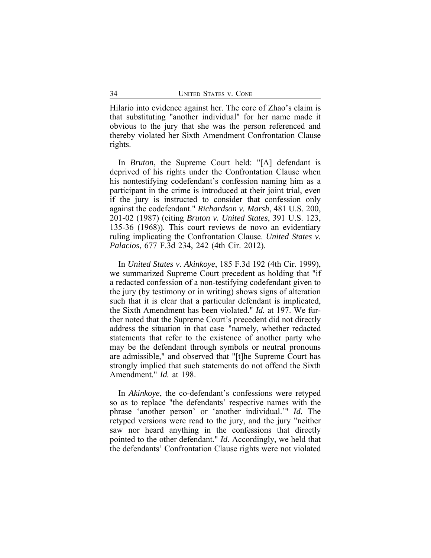Hilario into evidence against her. The core of Zhao's claim is that substituting "another individual" for her name made it obvious to the jury that she was the person referenced and thereby violated her Sixth Amendment Confrontation Clause rights.

In *Bruton*, the Supreme Court held: "[A] defendant is deprived of his rights under the Confrontation Clause when his nontestifying codefendant's confession naming him as a participant in the crime is introduced at their joint trial, even if the jury is instructed to consider that confession only against the codefendant." *Richardson v. Marsh*, 481 U.S. 200, 201-02 (1987) (citing *Bruton v. United States*, 391 U.S. 123, 135-36 (1968)). This court reviews de novo an evidentiary ruling implicating the Confrontation Clause. *United States v. Palacios*, 677 F.3d 234, 242 (4th Cir. 2012).

In *United States v. Akinkoye*, 185 F.3d 192 (4th Cir. 1999), we summarized Supreme Court precedent as holding that "if a redacted confession of a non-testifying codefendant given to the jury (by testimony or in writing) shows signs of alteration such that it is clear that a particular defendant is implicated, the Sixth Amendment has been violated." *Id.* at 197. We further noted that the Supreme Court's precedent did not directly address the situation in that case–"namely, whether redacted statements that refer to the existence of another party who may be the defendant through symbols or neutral pronouns are admissible," and observed that "[t]he Supreme Court has strongly implied that such statements do not offend the Sixth Amendment." *Id.* at 198.

In *Akinkoye*, the co-defendant's confessions were retyped so as to replace "the defendants' respective names with the phrase 'another person' or 'another individual.'" *Id.* The retyped versions were read to the jury, and the jury "neither saw nor heard anything in the confessions that directly pointed to the other defendant." *Id.* Accordingly, we held that the defendants' Confrontation Clause rights were not violated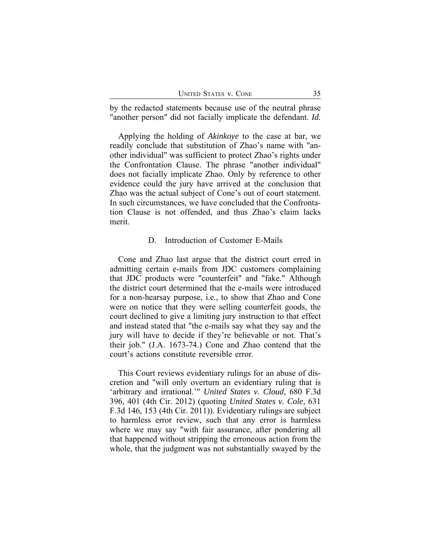by the redacted statements because use of the neutral phrase "another person" did not facially implicate the defendant. *Id.*

Applying the holding of *Akinkoye* to the case at bar, we readily conclude that substitution of Zhao's name with "another individual" was sufficient to protect Zhao's rights under the Confrontation Clause. The phrase "another individual" does not facially implicate Zhao. Only by reference to other evidence could the jury have arrived at the conclusion that Zhao was the actual subject of Cone's out of court statement. In such circumstances, we have concluded that the Confrontation Clause is not offended, and thus Zhao's claim lacks merit.

#### D. Introduction of Customer E-Mails

Cone and Zhao last argue that the district court erred in admitting certain e-mails from JDC customers complaining that JDC products were "counterfeit" and "fake." Although the district court determined that the e-mails were introduced for a non-hearsay purpose, i.e., to show that Zhao and Cone were on notice that they were selling counterfeit goods, the court declined to give a limiting jury instruction to that effect and instead stated that "the e-mails say what they say and the jury will have to decide if they're believable or not. That's their job." (J.A. 1673-74.) Cone and Zhao contend that the court's actions constitute reversible error.

This Court reviews evidentiary rulings for an abuse of discretion and "will only overturn an evidentiary ruling that is 'arbitrary and irrational.'" *United States v. Cloud*, 680 F.3d 396, 401 (4th Cir. 2012) (quoting *United States v. Cole*, 631 F.3d 146, 153 (4th Cir. 2011)). Evidentiary rulings are subject to harmless error review, such that any error is harmless where we may say "with fair assurance, after pondering all that happened without stripping the erroneous action from the whole, that the judgment was not substantially swayed by the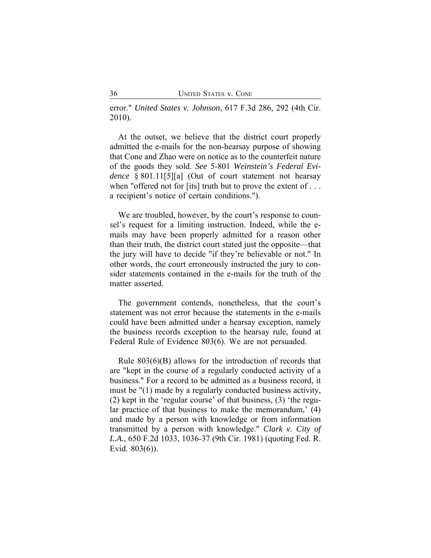error." *United States v. Johnson*, 617 F.3d 286, 292 (4th Cir. 2010).

At the outset, we believe that the district court properly admitted the e-mails for the non-hearsay purpose of showing that Cone and Zhao were on notice as to the counterfeit nature of the goods they sold. *See* 5-801 *Weinstein's Federal Evidence* § 801.11[5][a] (Out of court statement not hearsay when "offered not for [its] truth but to prove the extent of . . . a recipient's notice of certain conditions.").

We are troubled, however, by the court's response to counsel's request for a limiting instruction. Indeed, while the emails may have been properly admitted for a reason other than their truth, the district court stated just the opposite—that the jury will have to decide "if they're believable or not." In other words, the court erroneously instructed the jury to consider statements contained in the e-mails for the truth of the matter asserted.

The government contends, nonetheless, that the court's statement was not error because the statements in the e-mails could have been admitted under a hearsay exception, namely the business records exception to the hearsay rule, found at Federal Rule of Evidence 803(6). We are not persuaded.

Rule 803(6)(B) allows for the introduction of records that are "kept in the course of a regularly conducted activity of a business." For a record to be admitted as a business record, it must be "(1) made by a regularly conducted business activity, (2) kept in the 'regular course' of that business, (3) 'the regular practice of that business to make the memorandum,' (4) and made by a person with knowledge or from information transmitted by a person with knowledge." *Clark v. City of L.A.*, 650 F.2d 1033, 1036-37 (9th Cir. 1981) (quoting Fed. R. Evid. 803(6)).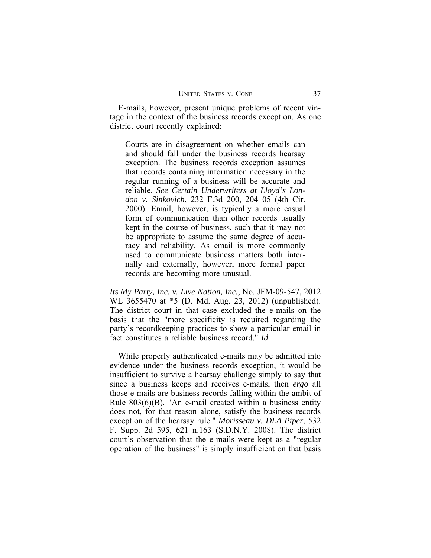E-mails, however, present unique problems of recent vintage in the context of the business records exception. As one district court recently explained:

Courts are in disagreement on whether emails can and should fall under the business records hearsay exception. The business records exception assumes that records containing information necessary in the regular running of a business will be accurate and reliable. *See Certain Underwriters at Lloyd's London v. Sinkovich*, 232 F.3d 200, 204–05 (4th Cir. 2000). Email, however, is typically a more casual form of communication than other records usually kept in the course of business, such that it may not be appropriate to assume the same degree of accuracy and reliability. As email is more commonly used to communicate business matters both internally and externally, however, more formal paper records are becoming more unusual.

*Its My Party, Inc. v. Live Nation, Inc.*, No. JFM-09-547, 2012 WL 3655470 at \*5 (D. Md. Aug. 23, 2012) (unpublished). The district court in that case excluded the e-mails on the basis that the "more specificity is required regarding the party's recordkeeping practices to show a particular email in fact constitutes a reliable business record." *Id.*

While properly authenticated e-mails may be admitted into evidence under the business records exception, it would be insufficient to survive a hearsay challenge simply to say that since a business keeps and receives e-mails, then *ergo* all those e-mails are business records falling within the ambit of Rule  $803(6)(B)$ . "An e-mail created within a business entity does not, for that reason alone, satisfy the business records exception of the hearsay rule." *Morisseau v. DLA Piper*, 532 F. Supp. 2d 595, 621 n.163 (S.D.N.Y. 2008). The district court's observation that the e-mails were kept as a "regular operation of the business" is simply insufficient on that basis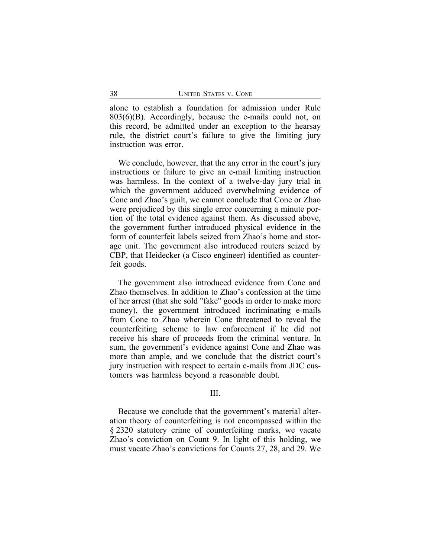alone to establish a foundation for admission under Rule 803(6)(B). Accordingly, because the e-mails could not, on this record, be admitted under an exception to the hearsay rule, the district court's failure to give the limiting jury instruction was error.

We conclude, however, that the any error in the court's jury instructions or failure to give an e-mail limiting instruction was harmless. In the context of a twelve-day jury trial in which the government adduced overwhelming evidence of Cone and Zhao's guilt, we cannot conclude that Cone or Zhao were prejudiced by this single error concerning a minute portion of the total evidence against them. As discussed above, the government further introduced physical evidence in the form of counterfeit labels seized from Zhao's home and storage unit. The government also introduced routers seized by CBP, that Heidecker (a Cisco engineer) identified as counterfeit goods.

The government also introduced evidence from Cone and Zhao themselves. In addition to Zhao's confession at the time of her arrest (that she sold "fake" goods in order to make more money), the government introduced incriminating e-mails from Cone to Zhao wherein Cone threatened to reveal the counterfeiting scheme to law enforcement if he did not receive his share of proceeds from the criminal venture. In sum, the government's evidence against Cone and Zhao was more than ample, and we conclude that the district court's jury instruction with respect to certain e-mails from JDC customers was harmless beyond a reasonable doubt.

#### III.

Because we conclude that the government's material alteration theory of counterfeiting is not encompassed within the § 2320 statutory crime of counterfeiting marks, we vacate Zhao's conviction on Count 9. In light of this holding, we must vacate Zhao's convictions for Counts 27, 28, and 29. We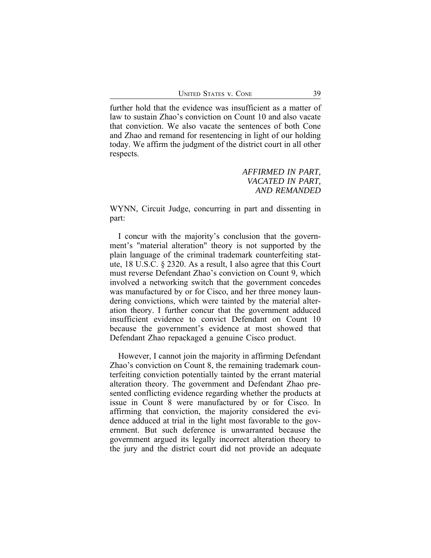further hold that the evidence was insufficient as a matter of law to sustain Zhao's conviction on Count 10 and also vacate that conviction. We also vacate the sentences of both Cone and Zhao and remand for resentencing in light of our holding today. We affirm the judgment of the district court in all other respects.

> *AFFIRMED IN PART, VACATED IN PART, AND REMANDED*

WYNN, Circuit Judge, concurring in part and dissenting in part:

I concur with the majority's conclusion that the government's "material alteration" theory is not supported by the plain language of the criminal trademark counterfeiting statute, 18 U.S.C. § 2320. As a result, I also agree that this Court must reverse Defendant Zhao's conviction on Count 9, which involved a networking switch that the government concedes was manufactured by or for Cisco, and her three money laundering convictions, which were tainted by the material alteration theory. I further concur that the government adduced insufficient evidence to convict Defendant on Count 10 because the government's evidence at most showed that Defendant Zhao repackaged a genuine Cisco product.

However, I cannot join the majority in affirming Defendant Zhao's conviction on Count 8, the remaining trademark counterfeiting conviction potentially tainted by the errant material alteration theory. The government and Defendant Zhao presented conflicting evidence regarding whether the products at issue in Count 8 were manufactured by or for Cisco. In affirming that conviction, the majority considered the evidence adduced at trial in the light most favorable to the government. But such deference is unwarranted because the government argued its legally incorrect alteration theory to the jury and the district court did not provide an adequate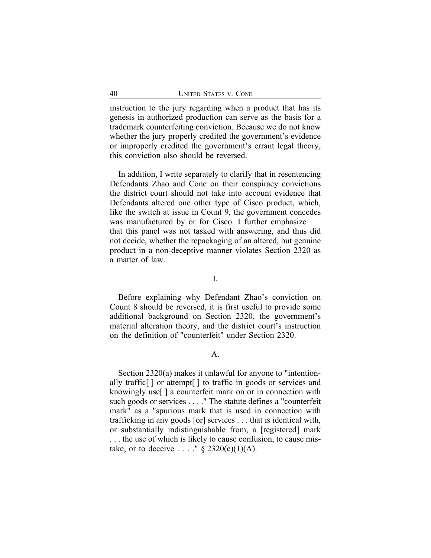instruction to the jury regarding when a product that has its genesis in authorized production can serve as the basis for a trademark counterfeiting conviction. Because we do not know whether the jury properly credited the government's evidence or improperly credited the government's errant legal theory, this conviction also should be reversed.

In addition, I write separately to clarify that in resentencing Defendants Zhao and Cone on their conspiracy convictions the district court should not take into account evidence that Defendants altered one other type of Cisco product, which, like the switch at issue in Count 9, the government concedes was manufactured by or for Cisco. I further emphasize that this panel was not tasked with answering, and thus did not decide, whether the repackaging of an altered, but genuine product in a non-deceptive manner violates Section 2320 as a matter of law.

I.

Before explaining why Defendant Zhao's conviction on Count 8 should be reversed, it is first useful to provide some additional background on Section 2320, the government's material alteration theory, and the district court's instruction on the definition of "counterfeit" under Section 2320.

## A.

Section 2320(a) makes it unlawful for anyone to "intentionally traffic[ ] or attempt[ ] to traffic in goods or services and knowingly use[ ] a counterfeit mark on or in connection with such goods or services . . . ." The statute defines a "counterfeit mark" as a "spurious mark that is used in connection with trafficking in any goods [or] services . . . that is identical with, or substantially indistinguishable from, a [registered] mark . . . the use of which is likely to cause confusion, to cause mistake, or to deceive  $\ldots$  "  $\S$  2320(e)(1)(A).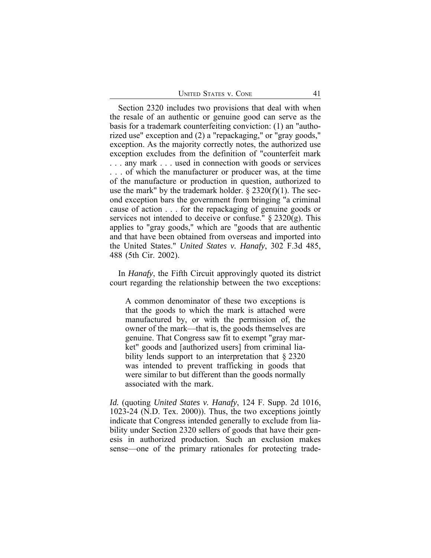| <b>UNITED STATES V. CONE</b> |  |
|------------------------------|--|
|------------------------------|--|

Section 2320 includes two provisions that deal with when the resale of an authentic or genuine good can serve as the basis for a trademark counterfeiting conviction: (1) an "authorized use" exception and (2) a "repackaging," or "gray goods," exception. As the majority correctly notes, the authorized use exception excludes from the definition of "counterfeit mark . . . any mark . . . used in connection with goods or services . . . of which the manufacturer or producer was, at the time of the manufacture or production in question, authorized to use the mark" by the trademark holder.  $\S 2320(f)(1)$ . The second exception bars the government from bringing "a criminal cause of action . . . for the repackaging of genuine goods or services not intended to deceive or confuse." § 2320(g). This applies to "gray goods," which are "goods that are authentic and that have been obtained from overseas and imported into the United States." *United States v. Hanafy*, 302 F.3d 485, 488 (5th Cir. 2002).

In *Hanafy*, the Fifth Circuit approvingly quoted its district court regarding the relationship between the two exceptions:

A common denominator of these two exceptions is that the goods to which the mark is attached were manufactured by, or with the permission of, the owner of the mark—that is, the goods themselves are genuine. That Congress saw fit to exempt "gray market" goods and [authorized users] from criminal liability lends support to an interpretation that § 2320 was intended to prevent trafficking in goods that were similar to but different than the goods normally associated with the mark.

*Id.* (quoting *United States v. Hanafy*, 124 F. Supp. 2d 1016, 1023-24 (N.D. Tex. 2000)). Thus, the two exceptions jointly indicate that Congress intended generally to exclude from liability under Section 2320 sellers of goods that have their genesis in authorized production. Such an exclusion makes sense—one of the primary rationales for protecting trade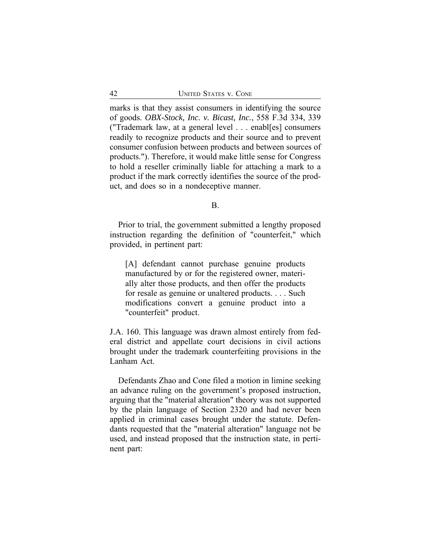marks is that they assist consumers in identifying the source of goods. *OBX-Stock, Inc. v. Bicast, Inc.*, 558 F.3d 334, 339 ("Trademark law, at a general level . . . enabl[es] consumers readily to recognize products and their source and to prevent consumer confusion between products and between sources of products."). Therefore, it would make little sense for Congress to hold a reseller criminally liable for attaching a mark to a product if the mark correctly identifies the source of the product, and does so in a nondeceptive manner.

B.

Prior to trial, the government submitted a lengthy proposed instruction regarding the definition of "counterfeit," which provided, in pertinent part:

[A] defendant cannot purchase genuine products manufactured by or for the registered owner, materially alter those products, and then offer the products for resale as genuine or unaltered products. . . . Such modifications convert a genuine product into a "counterfeit" product.

J.A. 160. This language was drawn almost entirely from federal district and appellate court decisions in civil actions brought under the trademark counterfeiting provisions in the Lanham Act.

Defendants Zhao and Cone filed a motion in limine seeking an advance ruling on the government's proposed instruction, arguing that the "material alteration" theory was not supported by the plain language of Section 2320 and had never been applied in criminal cases brought under the statute. Defendants requested that the "material alteration" language not be used, and instead proposed that the instruction state, in pertinent part: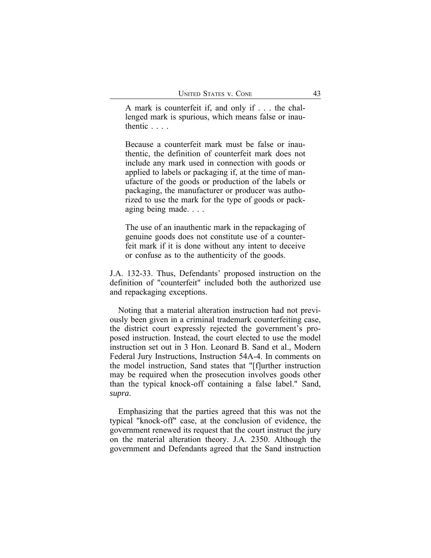A mark is counterfeit if, and only if . . . the challenged mark is spurious, which means false or inauthentic . . . .

Because a counterfeit mark must be false or inauthentic, the definition of counterfeit mark does not include any mark used in connection with goods or applied to labels or packaging if, at the time of manufacture of the goods or production of the labels or packaging, the manufacturer or producer was authorized to use the mark for the type of goods or packaging being made. . . .

The use of an inauthentic mark in the repackaging of genuine goods does not constitute use of a counterfeit mark if it is done without any intent to deceive or confuse as to the authenticity of the goods.

J.A. 132-33. Thus, Defendants' proposed instruction on the definition of "counterfeit" included both the authorized use and repackaging exceptions.

Noting that a material alteration instruction had not previously been given in a criminal trademark counterfeiting case, the district court expressly rejected the government's proposed instruction. Instead, the court elected to use the model instruction set out in 3 Hon. Leonard B. Sand et al., Modern Federal Jury Instructions, Instruction 54A-4. In comments on the model instruction, Sand states that "[f]urther instruction may be required when the prosecution involves goods other than the typical knock-off containing a false label." Sand, *supra*.

Emphasizing that the parties agreed that this was not the typical "knock-off" case, at the conclusion of evidence, the government renewed its request that the court instruct the jury on the material alteration theory. J.A. 2350. Although the government and Defendants agreed that the Sand instruction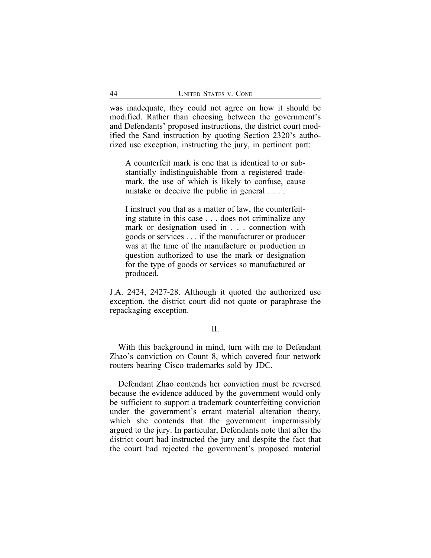was inadequate, they could not agree on how it should be modified. Rather than choosing between the government's and Defendants' proposed instructions, the district court modified the Sand instruction by quoting Section 2320's authorized use exception, instructing the jury, in pertinent part:

A counterfeit mark is one that is identical to or substantially indistinguishable from a registered trademark, the use of which is likely to confuse, cause mistake or deceive the public in general . . . .

I instruct you that as a matter of law, the counterfeiting statute in this case . . . does not criminalize any mark or designation used in . . . connection with goods or services . . . if the manufacturer or producer was at the time of the manufacture or production in question authorized to use the mark or designation for the type of goods or services so manufactured or produced.

J.A. 2424, 2427-28. Although it quoted the authorized use exception, the district court did not quote or paraphrase the repackaging exception.

#### II.

With this background in mind, turn with me to Defendant Zhao's conviction on Count 8, which covered four network routers bearing Cisco trademarks sold by JDC.

Defendant Zhao contends her conviction must be reversed because the evidence adduced by the government would only be sufficient to support a trademark counterfeiting conviction under the government's errant material alteration theory, which she contends that the government impermissibly argued to the jury. In particular, Defendants note that after the district court had instructed the jury and despite the fact that the court had rejected the government's proposed material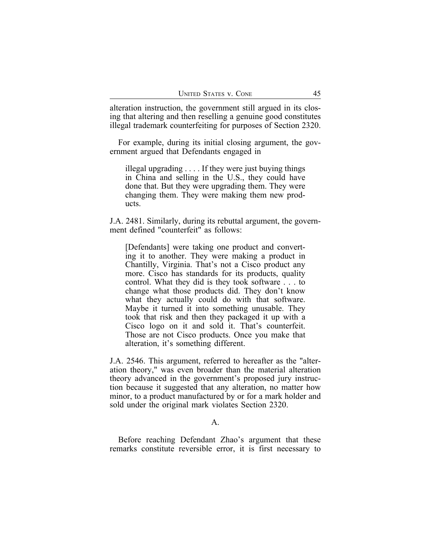alteration instruction, the government still argued in its closing that altering and then reselling a genuine good constitutes illegal trademark counterfeiting for purposes of Section 2320.

For example, during its initial closing argument, the government argued that Defendants engaged in

illegal upgrading . . . . If they were just buying things in China and selling in the U.S., they could have done that. But they were upgrading them. They were changing them. They were making them new products.

J.A. 2481. Similarly, during its rebuttal argument, the government defined "counterfeit" as follows:

[Defendants] were taking one product and converting it to another. They were making a product in Chantilly, Virginia. That's not a Cisco product any more. Cisco has standards for its products, quality control. What they did is they took software . . . to change what those products did. They don't know what they actually could do with that software. Maybe it turned it into something unusable. They took that risk and then they packaged it up with a Cisco logo on it and sold it. That's counterfeit. Those are not Cisco products. Once you make that alteration, it's something different.

J.A. 2546. This argument, referred to hereafter as the "alteration theory," was even broader than the material alteration theory advanced in the government's proposed jury instruction because it suggested that any alteration, no matter how minor, to a product manufactured by or for a mark holder and sold under the original mark violates Section 2320.

#### A.

Before reaching Defendant Zhao's argument that these remarks constitute reversible error, it is first necessary to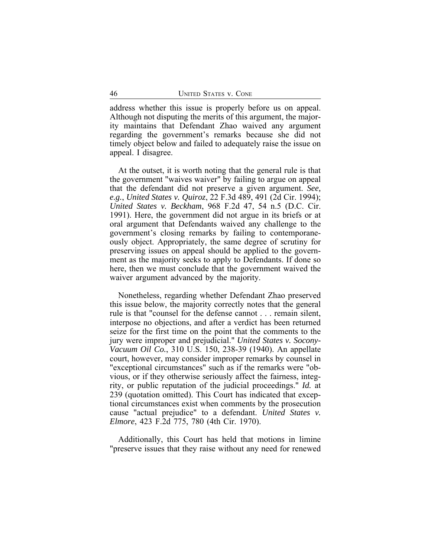address whether this issue is properly before us on appeal. Although not disputing the merits of this argument, the majority maintains that Defendant Zhao waived any argument regarding the government's remarks because she did not timely object below and failed to adequately raise the issue on appeal. I disagree.

At the outset, it is worth noting that the general rule is that the government "waives waiver" by failing to argue on appeal that the defendant did not preserve a given argument. *See, e.g.*, *United States v. Quiroz*, 22 F.3d 489, 491 (2d Cir. 1994); *United States v. Beckham*, 968 F.2d 47, 54 n.5 (D.C. Cir. 1991). Here, the government did not argue in its briefs or at oral argument that Defendants waived any challenge to the government's closing remarks by failing to contemporaneously object. Appropriately, the same degree of scrutiny for preserving issues on appeal should be applied to the government as the majority seeks to apply to Defendants. If done so here, then we must conclude that the government waived the waiver argument advanced by the majority.

Nonetheless, regarding whether Defendant Zhao preserved this issue below, the majority correctly notes that the general rule is that "counsel for the defense cannot . . . remain silent, interpose no objections, and after a verdict has been returned seize for the first time on the point that the comments to the jury were improper and prejudicial." *United States v. Socony-Vacuum Oil Co.*, 310 U.S. 150, 238-39 (1940). An appellate court, however, may consider improper remarks by counsel in "exceptional circumstances" such as if the remarks were "obvious, or if they otherwise seriously affect the fairness, integrity, or public reputation of the judicial proceedings." *Id.* at 239 (quotation omitted). This Court has indicated that exceptional circumstances exist when comments by the prosecution cause "actual prejudice" to a defendant. *United States v. Elmore*, 423 F.2d 775, 780 (4th Cir. 1970).

Additionally, this Court has held that motions in limine "preserve issues that they raise without any need for renewed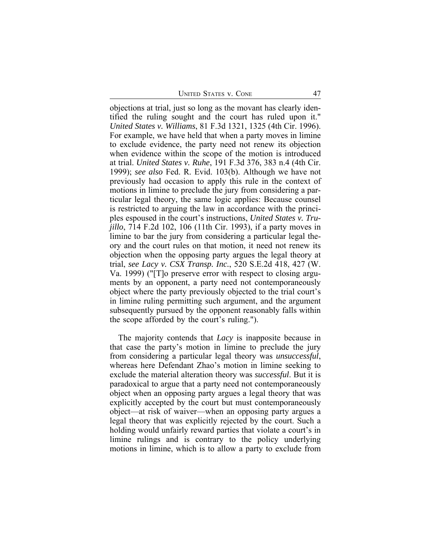UNITED STATES V. CONE 47

objections at trial, just so long as the movant has clearly identified the ruling sought and the court has ruled upon it." *United States v. Williams*, 81 F.3d 1321, 1325 (4th Cir. 1996). For example, we have held that when a party moves in limine to exclude evidence, the party need not renew its objection when evidence within the scope of the motion is introduced at trial. *United States v. Ruhe*, 191 F.3d 376, 383 n.4 (4th Cir. 1999); *see also* Fed. R. Evid. 103(b). Although we have not previously had occasion to apply this rule in the context of motions in limine to preclude the jury from considering a particular legal theory, the same logic applies: Because counsel is restricted to arguing the law in accordance with the principles espoused in the court's instructions, *United States v. Trujillo*, 714 F.2d 102, 106 (11th Cir. 1993), if a party moves in limine to bar the jury from considering a particular legal theory and the court rules on that motion, it need not renew its objection when the opposing party argues the legal theory at trial, *see Lacy v. CSX Transp. Inc.*, 520 S.E.2d 418, 427 (W. Va. 1999) ("[T]o preserve error with respect to closing arguments by an opponent, a party need not contemporaneously object where the party previously objected to the trial court's in limine ruling permitting such argument, and the argument subsequently pursued by the opponent reasonably falls within the scope afforded by the court's ruling.").

The majority contends that *Lacy* is inapposite because in that case the party's motion in limine to preclude the jury from considering a particular legal theory was *unsuccessful*, whereas here Defendant Zhao's motion in limine seeking to exclude the material alteration theory was *successful*. But it is paradoxical to argue that a party need not contemporaneously object when an opposing party argues a legal theory that was explicitly accepted by the court but must contemporaneously object—at risk of waiver—when an opposing party argues a legal theory that was explicitly rejected by the court. Such a holding would unfairly reward parties that violate a court's in limine rulings and is contrary to the policy underlying motions in limine, which is to allow a party to exclude from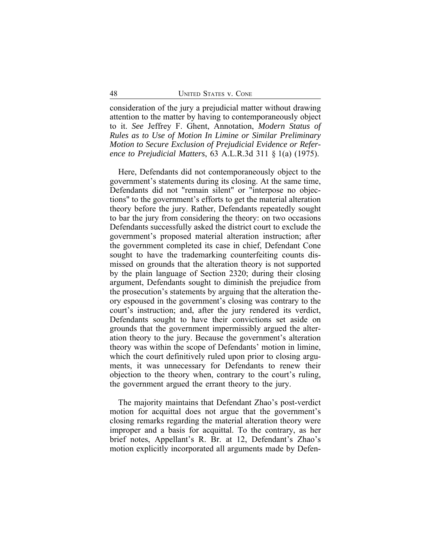consideration of the jury a prejudicial matter without drawing attention to the matter by having to contemporaneously object to it. *See* Jeffrey F. Ghent, Annotation, *Modern Status of Rules as to Use of Motion In Limine or Similar Preliminary Motion to Secure Exclusion of Prejudicial Evidence or Reference to Prejudicial Matters*, 63 A.L.R.3d 311 § 1(a) (1975).

Here, Defendants did not contemporaneously object to the government's statements during its closing. At the same time, Defendants did not "remain silent" or "interpose no objections" to the government's efforts to get the material alteration theory before the jury. Rather, Defendants repeatedly sought to bar the jury from considering the theory: on two occasions Defendants successfully asked the district court to exclude the government's proposed material alteration instruction; after the government completed its case in chief, Defendant Cone sought to have the trademarking counterfeiting counts dismissed on grounds that the alteration theory is not supported by the plain language of Section 2320; during their closing argument, Defendants sought to diminish the prejudice from the prosecution's statements by arguing that the alteration theory espoused in the government's closing was contrary to the court's instruction; and, after the jury rendered its verdict, Defendants sought to have their convictions set aside on grounds that the government impermissibly argued the alteration theory to the jury. Because the government's alteration theory was within the scope of Defendants' motion in limine, which the court definitively ruled upon prior to closing arguments, it was unnecessary for Defendants to renew their objection to the theory when, contrary to the court's ruling, the government argued the errant theory to the jury.

The majority maintains that Defendant Zhao's post-verdict motion for acquittal does not argue that the government's closing remarks regarding the material alteration theory were improper and a basis for acquittal. To the contrary, as her brief notes, Appellant's R. Br. at 12, Defendant's Zhao's motion explicitly incorporated all arguments made by Defen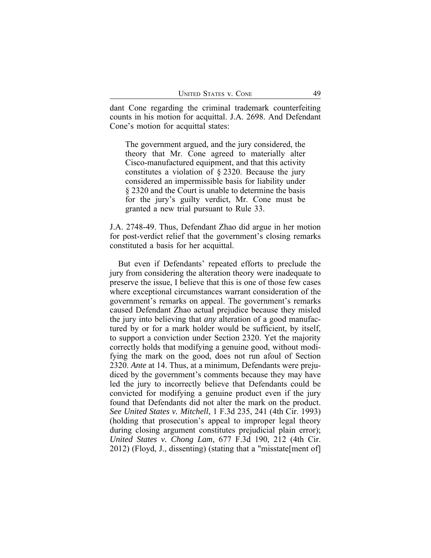dant Cone regarding the criminal trademark counterfeiting counts in his motion for acquittal. J.A. 2698. And Defendant Cone's motion for acquittal states:

The government argued, and the jury considered, the theory that Mr. Cone agreed to materially alter Cisco-manufactured equipment, and that this activity constitutes a violation of § 2320. Because the jury considered an impermissible basis for liability under § 2320 and the Court is unable to determine the basis for the jury's guilty verdict, Mr. Cone must be granted a new trial pursuant to Rule 33.

J.A. 2748-49. Thus, Defendant Zhao did argue in her motion for post-verdict relief that the government's closing remarks constituted a basis for her acquittal.

But even if Defendants' repeated efforts to preclude the jury from considering the alteration theory were inadequate to preserve the issue, I believe that this is one of those few cases where exceptional circumstances warrant consideration of the government's remarks on appeal. The government's remarks caused Defendant Zhao actual prejudice because they misled the jury into believing that *any* alteration of a good manufactured by or for a mark holder would be sufficient, by itself, to support a conviction under Section 2320. Yet the majority correctly holds that modifying a genuine good, without modifying the mark on the good, does not run afoul of Section 2320. *Ante* at 14. Thus, at a minimum, Defendants were prejudiced by the government's comments because they may have led the jury to incorrectly believe that Defendants could be convicted for modifying a genuine product even if the jury found that Defendants did not alter the mark on the product. *See United States v. Mitchell*, 1 F.3d 235, 241 (4th Cir. 1993) (holding that prosecution's appeal to improper legal theory during closing argument constitutes prejudicial plain error); *United States v. Chong Lam*, 677 F.3d 190, 212 (4th Cir. 2012) (Floyd, J., dissenting) (stating that a "misstate[ment of]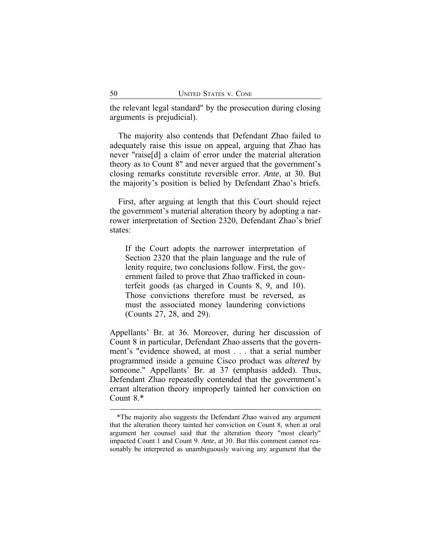the relevant legal standard" by the prosecution during closing arguments is prejudicial).

The majority also contends that Defendant Zhao failed to adequately raise this issue on appeal, arguing that Zhao has never "raise[d] a claim of error under the material alteration theory as to Count 8" and never argued that the government's closing remarks constitute reversible error. *Ante*, at 30. But the majority's position is belied by Defendant Zhao's briefs.

First, after arguing at length that this Court should reject the government's material alteration theory by adopting a narrower interpretation of Section 2320, Defendant Zhao's brief states:

If the Court adopts the narrower interpretation of Section 2320 that the plain language and the rule of lenity require, two conclusions follow. First, the government failed to prove that Zhao trafficked in counterfeit goods (as charged in Counts 8, 9, and 10). Those convictions therefore must be reversed, as must the associated money laundering convictions (Counts 27, 28, and 29).

Appellants' Br. at 36. Moreover, during her discussion of Count 8 in particular, Defendant Zhao asserts that the government's "evidence showed, at most . . . that a serial number programmed inside a genuine Cisco product was *altered* by someone." Appellants' Br. at 37 (emphasis added). Thus, Defendant Zhao repeatedly contended that the government's errant alteration theory improperly tainted her conviction on Count 8.\*

<sup>\*</sup>The majority also suggests the Defendant Zhao waived any argument that the alteration theory tainted her conviction on Count 8, when at oral argument her counsel said that the alteration theory "most clearly" impacted Count 1 and Count 9. *Ante*, at 30. But this comment cannot reasonably be interpreted as unambiguously waiving any argument that the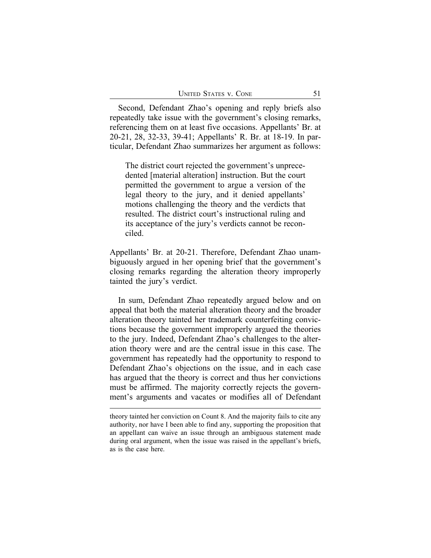Second, Defendant Zhao's opening and reply briefs also repeatedly take issue with the government's closing remarks, referencing them on at least five occasions. Appellants' Br. at 20-21, 28, 32-33, 39-41; Appellants' R. Br. at 18-19. In particular, Defendant Zhao summarizes her argument as follows:

The district court rejected the government's unprecedented [material alteration] instruction. But the court permitted the government to argue a version of the legal theory to the jury, and it denied appellants' motions challenging the theory and the verdicts that resulted. The district court's instructional ruling and its acceptance of the jury's verdicts cannot be reconciled.

Appellants' Br. at 20-21. Therefore, Defendant Zhao unambiguously argued in her opening brief that the government's closing remarks regarding the alteration theory improperly tainted the jury's verdict.

In sum, Defendant Zhao repeatedly argued below and on appeal that both the material alteration theory and the broader alteration theory tainted her trademark counterfeiting convictions because the government improperly argued the theories to the jury. Indeed, Defendant Zhao's challenges to the alteration theory were and are the central issue in this case. The government has repeatedly had the opportunity to respond to Defendant Zhao's objections on the issue, and in each case has argued that the theory is correct and thus her convictions must be affirmed. The majority correctly rejects the government's arguments and vacates or modifies all of Defendant

theory tainted her conviction on Count 8. And the majority fails to cite any authority, nor have I been able to find any, supporting the proposition that an appellant can waive an issue through an ambiguous statement made during oral argument, when the issue was raised in the appellant's briefs, as is the case here.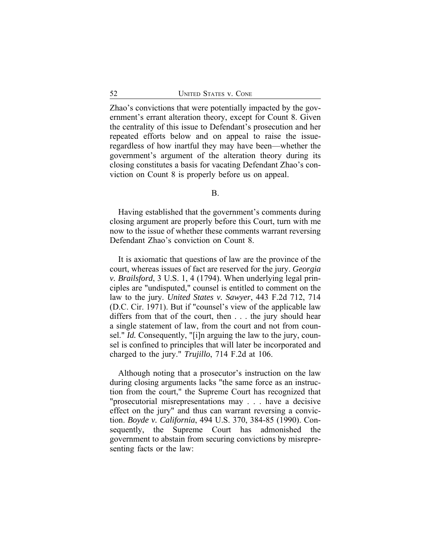Zhao's convictions that were potentially impacted by the government's errant alteration theory, except for Count 8. Given the centrality of this issue to Defendant's prosecution and her repeated efforts below and on appeal to raise the issueregardless of how inartful they may have been—whether the government's argument of the alteration theory during its closing constitutes a basis for vacating Defendant Zhao's conviction on Count 8 is properly before us on appeal.

#### B.

Having established that the government's comments during closing argument are properly before this Court, turn with me now to the issue of whether these comments warrant reversing Defendant Zhao's conviction on Count 8.

It is axiomatic that questions of law are the province of the court, whereas issues of fact are reserved for the jury. *Georgia v. Brailsford*, 3 U.S. 1, 4 (1794). When underlying legal principles are "undisputed," counsel is entitled to comment on the law to the jury. *United States v. Sawyer*, 443 F.2d 712, 714 (D.C. Cir. 1971). But if "counsel's view of the applicable law differs from that of the court, then . . . the jury should hear a single statement of law, from the court and not from counsel." *Id.* Consequently, "[i]n arguing the law to the jury, counsel is confined to principles that will later be incorporated and charged to the jury." *Trujillo*, 714 F.2d at 106.

Although noting that a prosecutor's instruction on the law during closing arguments lacks "the same force as an instruction from the court," the Supreme Court has recognized that "prosecutorial misrepresentations may . . . have a decisive effect on the jury" and thus can warrant reversing a conviction. *Boyde v. California*, 494 U.S. 370, 384-85 (1990). Consequently, the Supreme Court has admonished the government to abstain from securing convictions by misrepresenting facts or the law: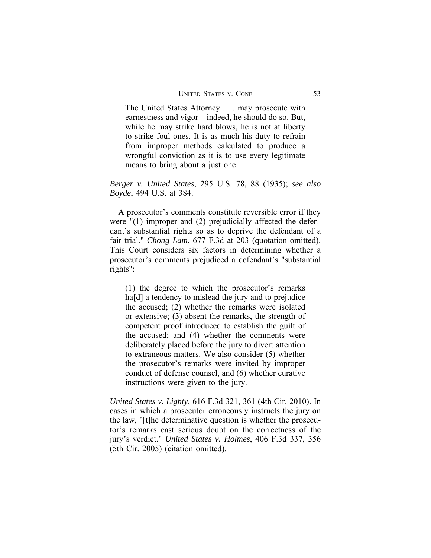The United States Attorney . . . may prosecute with earnestness and vigor—indeed, he should do so. But, while he may strike hard blows, he is not at liberty to strike foul ones. It is as much his duty to refrain from improper methods calculated to produce a wrongful conviction as it is to use every legitimate means to bring about a just one.

## *Berger v. United States*, 295 U.S. 78, 88 (1935); *see also Boyde*, 494 U.S. at 384.

A prosecutor's comments constitute reversible error if they were "(1) improper and (2) prejudicially affected the defendant's substantial rights so as to deprive the defendant of a fair trial." *Chong Lam*, 677 F.3d at 203 (quotation omitted). This Court considers six factors in determining whether a prosecutor's comments prejudiced a defendant's "substantial rights":

(1) the degree to which the prosecutor's remarks ha[d] a tendency to mislead the jury and to prejudice the accused; (2) whether the remarks were isolated or extensive; (3) absent the remarks, the strength of competent proof introduced to establish the guilt of the accused; and (4) whether the comments were deliberately placed before the jury to divert attention to extraneous matters. We also consider (5) whether the prosecutor's remarks were invited by improper conduct of defense counsel, and (6) whether curative instructions were given to the jury.

*United States v. Lighty*, 616 F.3d 321, 361 (4th Cir. 2010). In cases in which a prosecutor erroneously instructs the jury on the law, "[t]he determinative question is whether the prosecutor's remarks cast serious doubt on the correctness of the jury's verdict." *United States v. Holmes*, 406 F.3d 337, 356 (5th Cir. 2005) (citation omitted).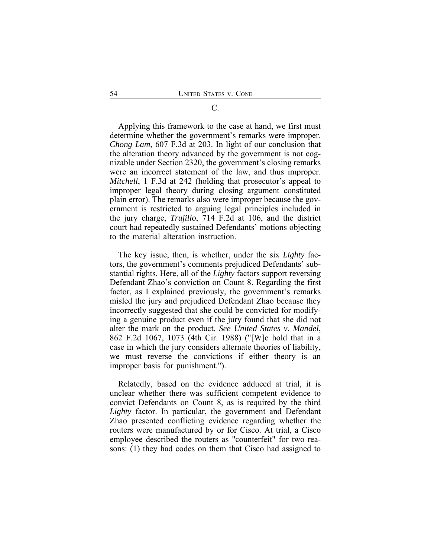#### C.

Applying this framework to the case at hand, we first must determine whether the government's remarks were improper. *Chong Lam*, 607 F.3d at 203. In light of our conclusion that the alteration theory advanced by the government is not cognizable under Section 2320, the government's closing remarks were an incorrect statement of the law, and thus improper. *Mitchell*, 1 F.3d at 242 (holding that prosecutor's appeal to improper legal theory during closing argument constituted plain error). The remarks also were improper because the government is restricted to arguing legal principles included in the jury charge, *Trujillo*, 714 F.2d at 106, and the district court had repeatedly sustained Defendants' motions objecting to the material alteration instruction.

The key issue, then, is whether, under the six *Lighty* factors, the government's comments prejudiced Defendants' substantial rights. Here, all of the *Lighty* factors support reversing Defendant Zhao's conviction on Count 8. Regarding the first factor, as I explained previously, the government's remarks misled the jury and prejudiced Defendant Zhao because they incorrectly suggested that she could be convicted for modifying a genuine product even if the jury found that she did not alter the mark on the product. *See United States v. Mandel*, 862 F.2d 1067, 1073 (4th Cir. 1988) ("[W]e hold that in a case in which the jury considers alternate theories of liability, we must reverse the convictions if either theory is an improper basis for punishment.").

Relatedly, based on the evidence adduced at trial, it is unclear whether there was sufficient competent evidence to convict Defendants on Count 8, as is required by the third *Lighty* factor. In particular, the government and Defendant Zhao presented conflicting evidence regarding whether the routers were manufactured by or for Cisco. At trial, a Cisco employee described the routers as "counterfeit" for two reasons: (1) they had codes on them that Cisco had assigned to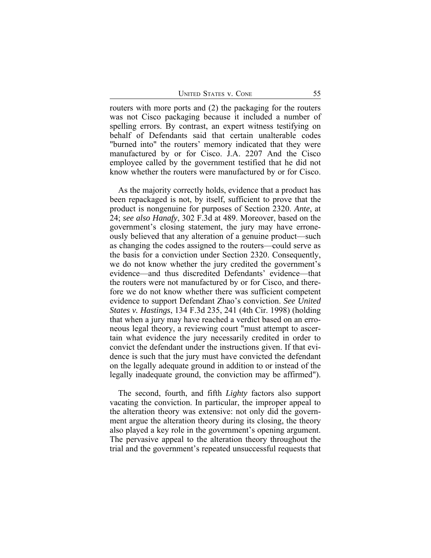routers with more ports and (2) the packaging for the routers was not Cisco packaging because it included a number of spelling errors. By contrast, an expert witness testifying on behalf of Defendants said that certain unalterable codes "burned into" the routers' memory indicated that they were manufactured by or for Cisco. J.A. 2207 And the Cisco employee called by the government testified that he did not know whether the routers were manufactured by or for Cisco.

As the majority correctly holds, evidence that a product has been repackaged is not, by itself, sufficient to prove that the product is nongenuine for purposes of Section 2320. *Ante*, at 24; *see also Hanafy*, 302 F.3d at 489. Moreover, based on the government's closing statement, the jury may have erroneously believed that any alteration of a genuine product—such as changing the codes assigned to the routers—could serve as the basis for a conviction under Section 2320. Consequently, we do not know whether the jury credited the government's evidence—and thus discredited Defendants' evidence—that the routers were not manufactured by or for Cisco, and therefore we do not know whether there was sufficient competent evidence to support Defendant Zhao's conviction. *See United States v. Hastings*, 134 F.3d 235, 241 (4th Cir. 1998) (holding that when a jury may have reached a verdict based on an erroneous legal theory, a reviewing court "must attempt to ascertain what evidence the jury necessarily credited in order to convict the defendant under the instructions given. If that evidence is such that the jury must have convicted the defendant on the legally adequate ground in addition to or instead of the legally inadequate ground, the conviction may be affirmed").

The second, fourth, and fifth *Lighty* factors also support vacating the conviction. In particular, the improper appeal to the alteration theory was extensive: not only did the government argue the alteration theory during its closing, the theory also played a key role in the government's opening argument. The pervasive appeal to the alteration theory throughout the trial and the government's repeated unsuccessful requests that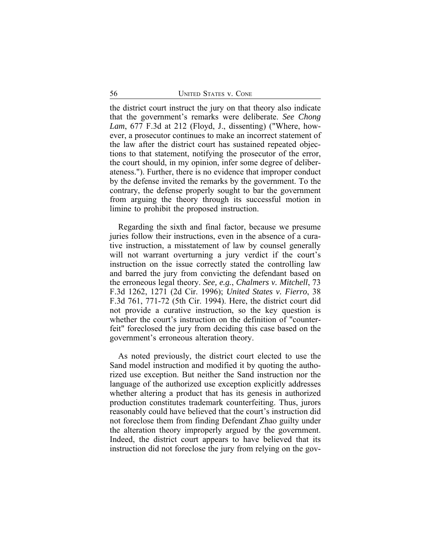the district court instruct the jury on that theory also indicate that the government's remarks were deliberate. *See Chong Lam*, 677 F.3d at 212 (Floyd, J., dissenting) ("Where, however, a prosecutor continues to make an incorrect statement of the law after the district court has sustained repeated objections to that statement, notifying the prosecutor of the error, the court should, in my opinion, infer some degree of deliberateness."). Further, there is no evidence that improper conduct by the defense invited the remarks by the government. To the contrary, the defense properly sought to bar the government from arguing the theory through its successful motion in limine to prohibit the proposed instruction.

Regarding the sixth and final factor, because we presume juries follow their instructions, even in the absence of a curative instruction, a misstatement of law by counsel generally will not warrant overturning a jury verdict if the court's instruction on the issue correctly stated the controlling law and barred the jury from convicting the defendant based on the erroneous legal theory. *See, e.g.*, *Chalmers v. Mitchell*, 73 F.3d 1262, 1271 (2d Cir. 1996); *United States v. Fierro*, 38 F.3d 761, 771-72 (5th Cir. 1994). Here, the district court did not provide a curative instruction, so the key question is whether the court's instruction on the definition of "counterfeit" foreclosed the jury from deciding this case based on the government's erroneous alteration theory.

As noted previously, the district court elected to use the Sand model instruction and modified it by quoting the authorized use exception. But neither the Sand instruction nor the language of the authorized use exception explicitly addresses whether altering a product that has its genesis in authorized production constitutes trademark counterfeiting. Thus, jurors reasonably could have believed that the court's instruction did not foreclose them from finding Defendant Zhao guilty under the alteration theory improperly argued by the government. Indeed, the district court appears to have believed that its instruction did not foreclose the jury from relying on the gov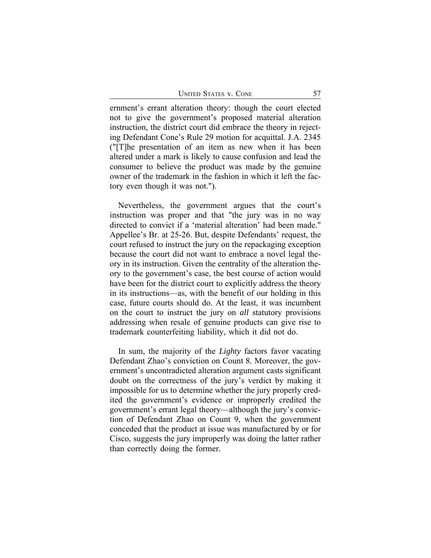UNITED STATES V. CONE 57

ernment's errant alteration theory: though the court elected not to give the government's proposed material alteration instruction, the district court did embrace the theory in rejecting Defendant Cone's Rule 29 motion for acquittal. J.A. 2345 ("[T]he presentation of an item as new when it has been altered under a mark is likely to cause confusion and lead the consumer to believe the product was made by the genuine owner of the trademark in the fashion in which it left the factory even though it was not.").

Nevertheless, the government argues that the court's instruction was proper and that "the jury was in no way directed to convict if a 'material alteration' had been made." Appellee's Br. at 25-26. But, despite Defendants' request, the court refused to instruct the jury on the repackaging exception because the court did not want to embrace a novel legal theory in its instruction. Given the centrality of the alteration theory to the government's case, the best course of action would have been for the district court to explicitly address the theory in its instructions—as, with the benefit of our holding in this case, future courts should do. At the least, it was incumbent on the court to instruct the jury on *all* statutory provisions addressing when resale of genuine products can give rise to trademark counterfeiting liability, which it did not do.

In sum, the majority of the *Lighty* factors favor vacating Defendant Zhao's conviction on Count 8. Moreover, the government's uncontradicted alteration argument casts significant doubt on the correctness of the jury's verdict by making it impossible for us to determine whether the jury properly credited the government's evidence or improperly credited the government's errant legal theory—although the jury's conviction of Defendant Zhao on Count 9, when the government conceded that the product at issue was manufactured by or for Cisco, suggests the jury improperly was doing the latter rather than correctly doing the former.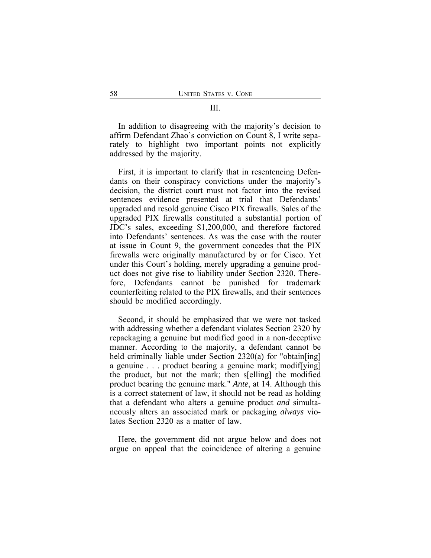## In addition to disagreeing with the majority's decision to affirm Defendant Zhao's conviction on Count 8, I write separately to highlight two important points not explicitly

First, it is important to clarify that in resentencing Defendants on their conspiracy convictions under the majority's decision, the district court must not factor into the revised sentences evidence presented at trial that Defendants' upgraded and resold genuine Cisco PIX firewalls. Sales of the upgraded PIX firewalls constituted a substantial portion of JDC's sales, exceeding \$1,200,000, and therefore factored into Defendants' sentences. As was the case with the router at issue in Count 9, the government concedes that the PIX firewalls were originally manufactured by or for Cisco. Yet under this Court's holding, merely upgrading a genuine product does not give rise to liability under Section 2320. Therefore, Defendants cannot be punished for trademark counterfeiting related to the PIX firewalls, and their sentences should be modified accordingly.

Second, it should be emphasized that we were not tasked with addressing whether a defendant violates Section 2320 by repackaging a genuine but modified good in a non-deceptive manner. According to the majority, a defendant cannot be held criminally liable under Section 2320(a) for "obtain[ing] a genuine . . . product bearing a genuine mark; modif[ying] the product, but not the mark; then s[elling] the modified product bearing the genuine mark." *Ante*, at 14. Although this is a correct statement of law, it should not be read as holding that a defendant who alters a genuine product *and* simultaneously alters an associated mark or packaging *always* violates Section 2320 as a matter of law.

Here, the government did not argue below and does not argue on appeal that the coincidence of altering a genuine

addressed by the majority.